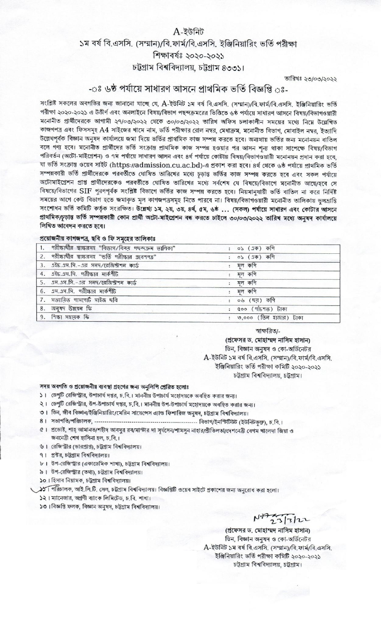## $A$ -ইউনিট ১ম বর্ষ বি.এসসি. (সম্মান)/বি.ফার্ম/বি.এসসি. ইঞ্জিনিয়ারিং ভর্তি পরীক্ষা শিক্ষাবৰ্ষঃ ২০২০-২০২১ চট্টগ্রাম বিশ্ববিদ্যালয়, চট্টগ্রাম ৪৩৩১।

তারিখঃ ২৩/০৩/২০২২

## -ঃ ৬ষ্ঠ পর্যায়ে সাধারণ আসনে প্রাথমিক ভর্তি বিজ্ঞপ্তি ্রঃ-

সংশ্লিষ্ট সকলের অবগতির জন্য জানানো যাচ্ছে যে, A-ইউনিট ১ম বর্ষ বি.এসসি. (সম্মান)/বি.ফার্ম/বি.এসসি. ইঞ্জিনিয়ারিং ভর্তি পরীক্ষা ২০২০-২০২১ এ উত্তীর্ণ এবং অনলাইনে বিষয়/বিভাগ পছন্দক্রমরের ভিত্তিতে ৬ষ্ঠ পর্যায়ে সাধারণ আসনে বিষয়/বিভাগওয়ারী মনোনীত প্রার্থীদেরকে আগামী ২৭/০৩/২০২২ থেকে ৩০/০৩/২০২২ তারিখ অফিস চলাকালীন সময়ের মধ্যে নিম্নে উল্লেখিত কাজগপত্র এবং ফিসসমূহ A4 সাইজের খামে নাম, ভর্তি পরীক্ষার রোল নম্বর, মেধাক্রম, মনোনীত বিভাগ, মোবাইল নম্বর, ইত্যাদি উল্লেখপূর্বক বিজ্ঞান অনুষদ কার্যালয়ে জমা দিয়ে ভর্তির প্রাথমিক কাজ সম্পন্ন করতে হবে। অন্যথায় ভর্তির জন্য মনোনয়ন বাতিল বলে গণ্য হবে। মনোনীত প্রার্থীদের ভর্তি সংক্রান্ত প্রাথমিক কাজ সম্পন্ন হওয়ার পর আসন শন্য থাকা সাপেক্ষে বিষয়/বিভাগ পরিবর্তন (অটো-মাইগ্রেশন) ও ৭ম পর্যায়ে সাধারণ আসন এবং ৪র্থ পর্যায়ে কোটায় বিষয়/বিভাগওয়ারী মনোনয়ন প্রদান করা হবে, যা ভৰ্তি সংক্ৰান্ত ওয়েব সাইট (https://admission.cu.ac.bd)-এ প্ৰকাশ কৰা হবে। ৪ৰ্থ থেকে ৬ষ্ঠ পৰ্যায়ে প্ৰাথমিক ভৰ্তি সম্পন্নকারী ভর্তি প্রার্থীদেরকে পরবর্তীতে ঘোষিত তারিখের মধ্যে চূড়ান্ত ভর্তির কাজ সম্পন্ন করতে হবে এবং সকল পর্যায়ে অটোমাইগ্রেশন প্রাপ্ত প্রার্থীদেরকেও পরবর্তীতে ঘোষিত তারিখের মধ্যে সর্বশেষ যে বিষয়ে/বিভাগে মনোনীত আছে/হবে সে বিষয়ে/বিভাগের SIF পুরণপূর্বক সংশ্লিষ্ট বিভাগে ভর্তির কাজ সম্পন্ন করতে হবে। নিয়মানুযায়ী ভর্তি বাতিল না করে নির্দিষ্ট সময়ের আগে কেউ বিভাগ হতে জমাকৃত মূল কাগজপত্রসমূহ নিতে পারবে না। বিষয়/বিভাগওয়ারী মনোনীত তালিকায় ভুলম্রান্তি সংশোধন ভর্তি কমিটি কর্তৃক সংরক্ষিত। উল্লেখ্য ১ম, ২য়, ৩য়, ৪র্থ, ৫ম, ৬ষ্ঠ ... (সকল) পর্যায়ে সাধারণ এবং কোটার আসনে প্রাথমিক/চূড়ান্ত ভর্তি সম্পন্নকারী কোন প্রার্থী অটো-মাইপ্রেশন বন্ধ করতে চাইলে ৩০/০৩/২০২২ তারিখ মধ্যে অনযদ কার্যালয়ে লিখিত আবেদন করতে হবে।

## প্রয়োজনীয় কাগজপত্র, ছবি ও ফি সমহের তালিকাঃ

| 1. পরীক্ষার্থীর স্বাক্ষরসহ "বিভাগ/বিষয় পছন্দক্রম ভালিকা" | : ০১ $(1\overline{p})$ কণি |
|-----------------------------------------------------------|----------------------------|
| 2. পরীক্ষার্থীর স্বাক্ষরসহ "ভর্তি পরীক্ষার গ্রবেশপত্র"    | : ০১ (এক) কণি              |
| 3. এইচ.এস.সি.-এর সনদ/রেজিস্ট্রশন কার্ড                    | মূল কপি                    |
| 4. এইচ.এস.সি. পরীক্ষার মার্কশীট                           | : মূল কণি                  |
| 5. এস.এস.সি.-এর সনদ/রেজিস্টশন কার্ড                       | : মূল কগি                  |
| 6. এস.এস.সি. পরীক্ষার মার্কশীট                            | : মূল কণি                  |
| 7. সত্যায়িত পাসপোর্ট সাইজ ছবি                            | : ০৬ (ছয়) কপি             |
| 8. अनुयम উन्नयन फि                                        | : ৫০০ (পাঁচশত) টাকা        |
| 9. শিক্ষা সহায়ক ফি                                       | ৩,০০০ (তিন হাজার) টাকা     |

স্বাক্ষরিত/-

(প্ৰফেসর ড. মোহাম্মদ নাসিম হাসান) ডিন, বিজ্ঞান অনুষদ ও কো-অর্ডিনেটর A-ইউনিট ১ম বর্ষ বি.এসসি. (সম্মান)/বি.ফার্ম/বি.এসসি. ইঞ্জিনিয়ারিং ভর্তি পরীক্ষা কমিটি ২০২০-২০২১ চট্টগ্রাম বিশ্ববিদ্যালয়, চট্টগ্রাম।

## সদয় অবগতি ও প্রয়োজনীয় ব্যবস্থা গ্রহণের জন্য অনুলিপি প্রেরিত হলোঃ

- ১। ডেপুটি রেজিস্ট্রার, উপাচার্য দপ্তর, চ.বি.। মাননীয় উপাচার্য মহোদয়কে অবহিত করার জন্য।
- ২। ডেপুটি রেজিস্ট্রার, উপ-উপাচার্য দপ্তর, চ.বি.। মাননীয় উপ-উপাচার্য মহোদয়কে অবহিত করার জন্য।
- ৩। ডিন, জীব বিজ্ঞান/ইঞ্জিনিয়ারিং/মেরিন সায়েন্সেস এ্যান্ড ফিশারিজ অনুষদ, চট্টগ্রাম বিশ্ববিদ্যালয়।
- 
- ৫। প্রভোষ্ট, শাহ্ আমানত/শহীদ আবদুর রব/মাস্টার দা সূর্যসেন/শামসুন নাহার/প্রীতিলতা/দেশনেত্রী বেগম খালেদা জিয়া ও জননেত্রী শেখ হাসিনা হল, চ.বি.।
- ৬। রেজিস্ট্রার (ভারপ্রাপ্ত), চট্টগ্রাম বিশ্ববিদ্যালয়।
- ৭। প্রক্টর, চট্টগ্রাম বিশ্ববিদ্যালয়।
- ৮। উপ-রেজিস্ট্রার (একাডেমিক শাখা), চট্টগ্রাম বিশ্ববিদ্যালয়।
- ৯। উপ-রেজিস্ট্রার (তথ্য), চট্টগ্রাম বিশ্ববিদ্যালয়।

১০। হিসাব নিয়ামক, চট্টগ্রাম বিশ্ববিদ্যালয়।

স্টা পরিচালক, আই.সি.টি. সেল, চট্টগ্রাম বিশ্ববিদ্যালয়। বিজ্ঞপ্তিটি ওয়েব সাইটে প্রকাশের জন্য অনুরোধ করা হলো।

- ১২। ম্যানেজার, অগ্রণী ব্যাংক লিমিটেড, চ.বি. শাখা।
- ১৩। বিজ্ঞপ্তি ফলক, বিজ্ঞান অনুষদ, চট্টগ্ৰাম বিশ্ববিদ্যালয়।

 $N_{2331212}$ 

(প্রফেসর ড. মোহাম্মদ নাসিম হাসান) ডিন, বিজ্ঞান অনুষদ ও কো-অর্ডিনেটর A-ইউনিট ১ম বর্ষ বি.এসসি. (সম্মান)/বি.ফার্ম/বি.এসসি. ইঞ্জিনিয়ারিং ভর্তি পরীক্ষা কমিটি ২০২০-২০২১ চট্টগ্ৰাম বিশ্ববিদ্যালয়, চট্টগ্ৰাম।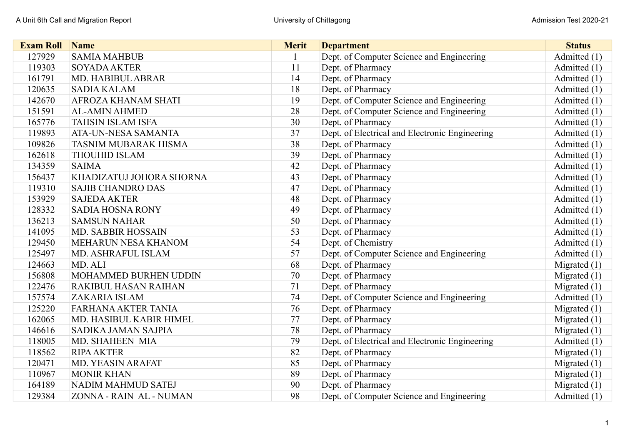| <b>Exam Roll</b> | <b>Name</b>                 | <b>Merit</b> | <b>Department</b>                              | <b>Status</b>  |
|------------------|-----------------------------|--------------|------------------------------------------------|----------------|
| 127929           | <b>SAMIA MAHBUB</b>         |              | Dept. of Computer Science and Engineering      | Admitted (1)   |
| 119303           | <b>SOYADA AKTER</b>         | 11           | Dept. of Pharmacy                              | Admitted (1)   |
| 161791           | <b>MD. HABIBUL ABRAR</b>    | 14           | Dept. of Pharmacy                              | Admitted (1)   |
| 120635           | <b>SADIA KALAM</b>          | 18           | Dept. of Pharmacy                              | Admitted (1)   |
| 142670           | AFROZA KHANAM SHATI         | 19           | Dept. of Computer Science and Engineering      | Admitted (1)   |
| 151591           | <b>AL-AMIN AHMED</b>        | 28           | Dept. of Computer Science and Engineering      | Admitted (1)   |
| 165776           | <b>TAHSIN ISLAM ISFA</b>    | 30           | Dept. of Pharmacy                              | Admitted (1)   |
| 119893           | ATA-UN-NESA SAMANTA         | 37           | Dept. of Electrical and Electronic Engineering | Admitted (1)   |
| 109826           | <b>TASNIM MUBARAK HISMA</b> | 38           | Dept. of Pharmacy                              | Admitted (1)   |
| 162618           | <b>THOUHID ISLAM</b>        | 39           | Dept. of Pharmacy                              | Admitted (1)   |
| 134359           | <b>SAIMA</b>                | 42           | Dept. of Pharmacy                              | Admitted (1)   |
| 156437           | KHADIZATUJ JOHORA SHORNA    | 43           | Dept. of Pharmacy                              | Admitted (1)   |
| 119310           | <b>SAJIB CHANDRO DAS</b>    | 47           | Dept. of Pharmacy                              | Admitted (1)   |
| 153929           | <b>SAJEDA AKTER</b>         | 48           | Dept. of Pharmacy                              | Admitted (1)   |
| 128332           | <b>SADIA HOSNA RONY</b>     | 49           | Dept. of Pharmacy                              | Admitted (1)   |
| 136213           | <b>SAMSUN NAHAR</b>         | 50           | Dept. of Pharmacy                              | Admitted (1)   |
| 141095           | <b>MD. SABBIR HOSSAIN</b>   | 53           | Dept. of Pharmacy                              | Admitted (1)   |
| 129450           | MEHARUN NESA KHANOM         | 54           | Dept. of Chemistry                             | Admitted (1)   |
| 125497           | MD. ASHRAFUL ISLAM          | 57           | Dept. of Computer Science and Engineering      | Admitted (1)   |
| 124663           | MD. ALI                     | 68           | Dept. of Pharmacy                              | Migrated $(1)$ |
| 156808           | MOHAMMED BURHEN UDDIN       | 70           | Dept. of Pharmacy                              | Migrated $(1)$ |
| 122476           | <b>RAKIBUL HASAN RAIHAN</b> | 71           | Dept. of Pharmacy                              | Migrated $(1)$ |
| 157574           | <b>ZAKARIA ISLAM</b>        | 74           | Dept. of Computer Science and Engineering      | Admitted (1)   |
| 125220           | <b>FARHANA AKTER TANIA</b>  | 76           | Dept. of Pharmacy                              | Migrated $(1)$ |
| 162065           | MD. HASIBUL KABIR HIMEL     | 77           | Dept. of Pharmacy                              | Migrated $(1)$ |
| 146616           | SADIKA JAMAN SAJPIA         | 78           | Dept. of Pharmacy                              | Migrated $(1)$ |
| 118005           | <b>MD. SHAHEEN MIA</b>      | 79           | Dept. of Electrical and Electronic Engineering | Admitted (1)   |
| 118562           | <b>RIPA AKTER</b>           | 82           | Dept. of Pharmacy                              | Migrated $(1)$ |
| 120471           | <b>MD. YEASIN ARAFAT</b>    | 85           | Dept. of Pharmacy                              | Migrated $(1)$ |
| 110967           | <b>MONIR KHAN</b>           | 89           | Dept. of Pharmacy                              | Migrated $(1)$ |
| 164189           | NADIM MAHMUD SATEJ          | 90           | Dept. of Pharmacy                              | Migrated $(1)$ |
| 129384           | ZONNA - RAIN AL - NUMAN     | 98           | Dept. of Computer Science and Engineering      | Admitted (1)   |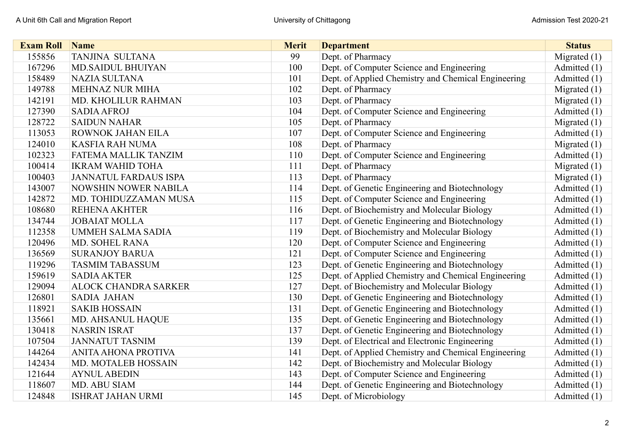| <b>Exam Roll</b> | Name                         | <b>Merit</b> | <b>Department</b>                                   | <b>Status</b>  |
|------------------|------------------------------|--------------|-----------------------------------------------------|----------------|
| 155856           | <b>TANJINA SULTANA</b>       | 99           | Dept. of Pharmacy                                   | Migrated $(1)$ |
| 167296           | <b>MD.SAIDUL BHUIYAN</b>     | 100          | Dept. of Computer Science and Engineering           | Admitted (1)   |
| 158489           | NAZIA SULTANA                | 101          | Dept. of Applied Chemistry and Chemical Engineering | Admitted (1)   |
| 149788           | <b>MEHNAZ NUR MIHA</b>       | 102          | Dept. of Pharmacy                                   | Migrated $(1)$ |
| 142191           | MD. KHOLILUR RAHMAN          | 103          | Dept. of Pharmacy                                   | Migrated $(1)$ |
| 127390           | <b>SADIA AFROJ</b>           | 104          | Dept. of Computer Science and Engineering           | Admitted (1)   |
| 128722           | <b>SAIDUN NAHAR</b>          | 105          | Dept. of Pharmacy                                   | Migrated $(1)$ |
| 113053           | ROWNOK JAHAN EILA            | 107          | Dept. of Computer Science and Engineering           | Admitted (1)   |
| 124010           | <b>KASFIA RAH NUMA</b>       | 108          | Dept. of Pharmacy                                   | Migrated $(1)$ |
| 102323           | FATEMA MALLIK TANZIM         | 110          | Dept. of Computer Science and Engineering           | Admitted (1)   |
| 100414           | <b>IKRAM WAHID TOHA</b>      | 111          | Dept. of Pharmacy                                   | Migrated $(1)$ |
| 100403           | <b>JANNATUL FARDAUS ISPA</b> | 113          | Dept. of Pharmacy                                   | Migrated $(1)$ |
| 143007           | <b>NOWSHIN NOWER NABILA</b>  | 114          | Dept. of Genetic Engineering and Biotechnology      | Admitted (1)   |
| 142872           | MD. TOHIDUZZAMAN MUSA        | 115          | Dept. of Computer Science and Engineering           | Admitted (1)   |
| 108680           | <b>REHENA AKHTER</b>         | 116          | Dept. of Biochemistry and Molecular Biology         | Admitted (1)   |
| 134744           | <b>JOBAIAT MOLLA</b>         | 117          | Dept. of Genetic Engineering and Biotechnology      | Admitted (1)   |
| 112358           | <b>UMMEH SALMA SADIA</b>     | 119          | Dept. of Biochemistry and Molecular Biology         | Admitted (1)   |
| 120496           | MD. SOHEL RANA               | 120          | Dept. of Computer Science and Engineering           | Admitted (1)   |
| 136569           | <b>SURANJOY BARUA</b>        | 121          | Dept. of Computer Science and Engineering           | Admitted (1)   |
| 119296           | <b>TASMIM TABASSUM</b>       | 123          | Dept. of Genetic Engineering and Biotechnology      | Admitted (1)   |
| 159619           | <b>SADIA AKTER</b>           | 125          | Dept. of Applied Chemistry and Chemical Engineering | Admitted (1)   |
| 129094           | <b>ALOCK CHANDRA SARKER</b>  | 127          | Dept. of Biochemistry and Molecular Biology         | Admitted (1)   |
| 126801           | <b>SADIA JAHAN</b>           | 130          | Dept. of Genetic Engineering and Biotechnology      | Admitted (1)   |
| 118921           | <b>SAKIB HOSSAIN</b>         | 131          | Dept. of Genetic Engineering and Biotechnology      | Admitted (1)   |
| 135661           | MD. AHSANUL HAQUE            | 135          | Dept. of Genetic Engineering and Biotechnology      | Admitted (1)   |
| 130418           | <b>NASRIN ISRAT</b>          | 137          | Dept. of Genetic Engineering and Biotechnology      | Admitted (1)   |
| 107504           | <b>JANNATUT TASNIM</b>       | 139          | Dept. of Electrical and Electronic Engineering      | Admitted (1)   |
| 144264           | <b>ANITA AHONA PROTIVA</b>   | 141          | Dept. of Applied Chemistry and Chemical Engineering | Admitted (1)   |
| 142434           | MD. MOTALEB HOSSAIN          | 142          | Dept. of Biochemistry and Molecular Biology         | Admitted (1)   |
| 121644           | <b>AYNUL ABEDIN</b>          | 143          | Dept. of Computer Science and Engineering           | Admitted (1)   |
| 118607           | MD. ABU SIAM                 | 144          | Dept. of Genetic Engineering and Biotechnology      | Admitted (1)   |
| 124848           | <b>ISHRAT JAHAN URMI</b>     | 145          | Dept. of Microbiology                               | Admitted (1)   |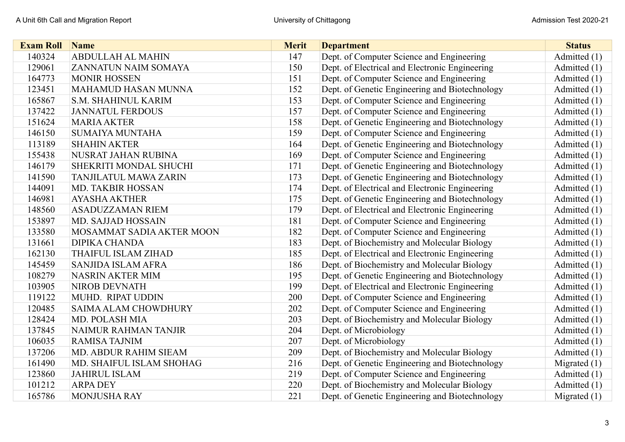| <b>Exam Roll</b> | <b>Name</b>                  | <b>Merit</b> | <b>Department</b>                              | <b>Status</b>  |
|------------------|------------------------------|--------------|------------------------------------------------|----------------|
| 140324           | <b>ABDULLAH AL MAHIN</b>     | 147          | Dept. of Computer Science and Engineering      | Admitted (1)   |
| 129061           | ZANNATUN NAIM SOMAYA         | 150          | Dept. of Electrical and Electronic Engineering | Admitted $(1)$ |
| 164773           | <b>MONIR HOSSEN</b>          | 151          | Dept. of Computer Science and Engineering      | Admitted $(1)$ |
| 123451           | <b>MAHAMUD HASAN MUNNA</b>   | 152          | Dept. of Genetic Engineering and Biotechnology | Admitted $(1)$ |
| 165867           | S.M. SHAHINUL KARIM          | 153          | Dept. of Computer Science and Engineering      | Admitted (1)   |
| 137422           | <b>JANNATUL FERDOUS</b>      | 157          | Dept. of Computer Science and Engineering      | Admitted $(1)$ |
| 151624           | <b>MARIA AKTER</b>           | 158          | Dept. of Genetic Engineering and Biotechnology | Admitted (1)   |
| 146150           | <b>SUMAIYA MUNTAHA</b>       | 159          | Dept. of Computer Science and Engineering      | Admitted (1)   |
| 113189           | <b>SHAHIN AKTER</b>          | 164          | Dept. of Genetic Engineering and Biotechnology | Admitted (1)   |
| 155438           | NUSRAT JAHAN RUBINA          | 169          | Dept. of Computer Science and Engineering      | Admitted $(1)$ |
| 146179           | SHEKRITI MONDAL SHUCHI       | 171          | Dept. of Genetic Engineering and Biotechnology | Admitted (1)   |
| 141590           | <b>TANJILATUL MAWA ZARIN</b> | 173          | Dept. of Genetic Engineering and Biotechnology | Admitted (1)   |
| 144091           | MD. TAKBIR HOSSAN            | 174          | Dept. of Electrical and Electronic Engineering | Admitted (1)   |
| 146981           | <b>AYASHA AKTHER</b>         | 175          | Dept. of Genetic Engineering and Biotechnology | Admitted (1)   |
| 148560           | <b>ASADUZZAMAN RIEM</b>      | 179          | Dept. of Electrical and Electronic Engineering | Admitted (1)   |
| 153897           | <b>MD. SAJJAD HOSSAIN</b>    | 181          | Dept. of Computer Science and Engineering      | Admitted (1)   |
| 133580           | MOSAMMAT SADIA AKTER MOON    | 182          | Dept. of Computer Science and Engineering      | Admitted (1)   |
| 131661           | <b>DIPIKA CHANDA</b>         | 183          | Dept. of Biochemistry and Molecular Biology    | Admitted (1)   |
| 162130           | THAIFUL ISLAM ZIHAD          | 185          | Dept. of Electrical and Electronic Engineering | Admitted $(1)$ |
| 145459           | <b>SANJIDA ISLAM AFRA</b>    | 186          | Dept. of Biochemistry and Molecular Biology    | Admitted (1)   |
| 108279           | <b>NASRIN AKTER MIM</b>      | 195          | Dept. of Genetic Engineering and Biotechnology | Admitted (1)   |
| 103905           | <b>NIROB DEVNATH</b>         | 199          | Dept. of Electrical and Electronic Engineering | Admitted (1)   |
| 119122           | MUHD. RIPAT UDDIN            | 200          | Dept. of Computer Science and Engineering      | Admitted (1)   |
| 120485           | <b>SAIMA ALAM CHOWDHURY</b>  | 202          | Dept. of Computer Science and Engineering      | Admitted (1)   |
| 128424           | MD. POLASH MIA               | 203          | Dept. of Biochemistry and Molecular Biology    | Admitted (1)   |
| 137845           | NAIMUR RAHMAN TANJIR         | 204          | Dept. of Microbiology                          | Admitted (1)   |
| 106035           | <b>RAMISA TAJNIM</b>         | 207          | Dept. of Microbiology                          | Admitted (1)   |
| 137206           | MD. ABDUR RAHIM SIEAM        | 209          | Dept. of Biochemistry and Molecular Biology    | Admitted (1)   |
| 161490           | MD. SHAIFUL ISLAM SHOHAG     | 216          | Dept. of Genetic Engineering and Biotechnology | Migrated $(1)$ |
| 123860           | <b>JAHIRUL ISLAM</b>         | 219          | Dept. of Computer Science and Engineering      | Admitted (1)   |
| 101212           | <b>ARPA DEY</b>              | 220          | Dept. of Biochemistry and Molecular Biology    | Admitted (1)   |
| 165786           | <b>MONJUSHA RAY</b>          | 221          | Dept. of Genetic Engineering and Biotechnology | Migrated $(1)$ |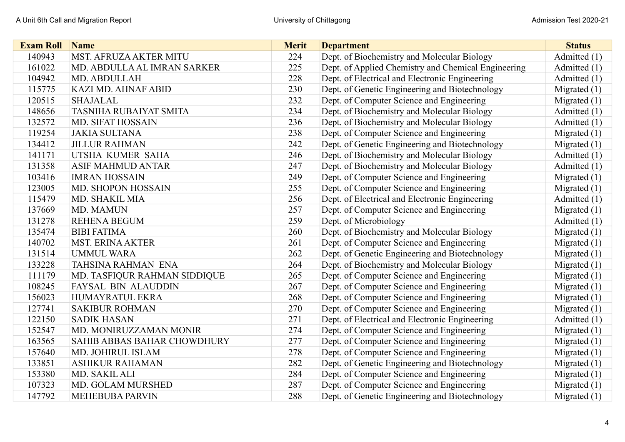| <b>Exam Roll</b> | <b>Name</b>                   | <b>Merit</b> | <b>Department</b>                                   | <b>Status</b>  |
|------------------|-------------------------------|--------------|-----------------------------------------------------|----------------|
| 140943           | <b>MST. AFRUZA AKTER MITU</b> | 224          | Dept. of Biochemistry and Molecular Biology         | Admitted (1)   |
| 161022           | MD. ABDULLA AL IMRAN SARKER   | 225          | Dept. of Applied Chemistry and Chemical Engineering | Admitted (1)   |
| 104942           | MD. ABDULLAH                  | 228          | Dept. of Electrical and Electronic Engineering      | Admitted (1)   |
| 115775           | <b>KAZI MD. AHNAF ABID</b>    | 230          | Dept. of Genetic Engineering and Biotechnology      | Migrated $(1)$ |
| 120515           | <b>SHAJALAL</b>               | 232          | Dept. of Computer Science and Engineering           | Migrated $(1)$ |
| 148656           | TASNIHA RUBAIYAT SMITA        | 234          | Dept. of Biochemistry and Molecular Biology         | Admitted (1)   |
| 132572           | <b>MD. SIFAT HOSSAIN</b>      | 236          | Dept. of Biochemistry and Molecular Biology         | Admitted (1)   |
| 119254           | <b>JAKIA SULTANA</b>          | 238          | Dept. of Computer Science and Engineering           | Migrated $(1)$ |
| 134412           | <b>JILLUR RAHMAN</b>          | 242          | Dept. of Genetic Engineering and Biotechnology      | Migrated $(1)$ |
| 141171           | UTSHA KUMER SAHA              | 246          | Dept. of Biochemistry and Molecular Biology         | Admitted (1)   |
| 131358           | <b>ASIF MAHMUD ANTAR</b>      | 247          | Dept. of Biochemistry and Molecular Biology         | Admitted (1)   |
| 103416           | <b>IMRAN HOSSAIN</b>          | 249          | Dept. of Computer Science and Engineering           | Migrated $(1)$ |
| 123005           | MD. SHOPON HOSSAIN            | 255          | Dept. of Computer Science and Engineering           | Migrated $(1)$ |
| 115479           | MD. SHAKIL MIA                | 256          | Dept. of Electrical and Electronic Engineering      | Admitted (1)   |
| 137669           | MD. MAMUN                     | 257          | Dept. of Computer Science and Engineering           | Migrated $(1)$ |
| 131278           | <b>REHENA BEGUM</b>           | 259          | Dept. of Microbiology                               | Admitted (1)   |
| 135474           | <b>BIBI FATIMA</b>            | 260          | Dept. of Biochemistry and Molecular Biology         | Migrated $(1)$ |
| 140702           | <b>MST. ERINA AKTER</b>       | 261          | Dept. of Computer Science and Engineering           | Migrated $(1)$ |
| 131514           | <b>UMMUL WARA</b>             | 262          | Dept. of Genetic Engineering and Biotechnology      | Migrated (1)   |
| 133228           | TAHSINA RAHMAN ENA            | 264          | Dept. of Biochemistry and Molecular Biology         | Migrated $(1)$ |
| 111179           | MD. TASFIQUR RAHMAN SIDDIQUE  | 265          | Dept. of Computer Science and Engineering           | Migrated (1)   |
| 108245           | <b>FAYSAL BIN ALAUDDIN</b>    | 267          | Dept. of Computer Science and Engineering           | Migrated $(1)$ |
| 156023           | HUMAYRATUL EKRA               | 268          | Dept. of Computer Science and Engineering           | Migrated $(1)$ |
| 127741           | <b>SAKIBUR ROHMAN</b>         | 270          | Dept. of Computer Science and Engineering           | Migrated $(1)$ |
| 122150           | <b>SADIK HASAN</b>            | 271          | Dept. of Electrical and Electronic Engineering      | Admitted (1)   |
| 152547           | MD. MONIRUZZAMAN MONIR        | 274          | Dept. of Computer Science and Engineering           | Migrated $(1)$ |
| 163565           | SAHIB ABBAS BAHAR CHOWDHURY   | 277          | Dept. of Computer Science and Engineering           | Migrated $(1)$ |
| 157640           | MD. JOHIRUL ISLAM             | 278          | Dept. of Computer Science and Engineering           | Migrated $(1)$ |
| 133851           | <b>ASHIKUR RAHAMAN</b>        | 282          | Dept. of Genetic Engineering and Biotechnology      | Migrated $(1)$ |
| 153380           | MD. SAKIL ALI                 | 284          | Dept. of Computer Science and Engineering           | Migrated $(1)$ |
| 107323           | MD. GOLAM MURSHED             | 287          | Dept. of Computer Science and Engineering           | Migrated $(1)$ |
| 147792           | <b>MEHEBUBA PARVIN</b>        | 288          | Dept. of Genetic Engineering and Biotechnology      | Migrated $(1)$ |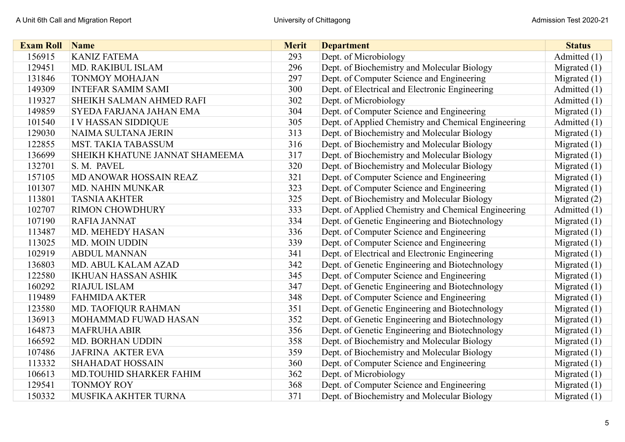| <b>Exam Roll</b> | Name                           | <b>Merit</b> | <b>Department</b>                                   | <b>Status</b>  |
|------------------|--------------------------------|--------------|-----------------------------------------------------|----------------|
| 156915           | <b>KANIZ FATEMA</b>            | 293          | Dept. of Microbiology                               | Admitted (1)   |
| 129451           | MD. RAKIBUL ISLAM              | 296          | Dept. of Biochemistry and Molecular Biology         | Migrated $(1)$ |
| 131846           | <b>TONMOY MOHAJAN</b>          | 297          | Dept. of Computer Science and Engineering           | Migrated $(1)$ |
| 149309           | <b>INTEFAR SAMIM SAMI</b>      | 300          | Dept. of Electrical and Electronic Engineering      | Admitted (1)   |
| 119327           | SHEIKH SALMAN AHMED RAFI       | 302          | Dept. of Microbiology                               | Admitted (1)   |
| 149859           | SYEDA FARJANA JAHAN EMA        | 304          | Dept. of Computer Science and Engineering           | Migrated $(1)$ |
| 101540           | I V HASSAN SIDDIQUE            | 305          | Dept. of Applied Chemistry and Chemical Engineering | Admitted (1)   |
| 129030           | NAIMA SULTANA JERIN            | 313          | Dept. of Biochemistry and Molecular Biology         | Migrated $(1)$ |
| 122855           | <b>MST. TAKIA TABASSUM</b>     | 316          | Dept. of Biochemistry and Molecular Biology         | Migrated $(1)$ |
| 136699           | SHEIKH KHATUNE JANNAT SHAMEEMA | 317          | Dept. of Biochemistry and Molecular Biology         | Migrated $(1)$ |
| 132701           | S. M. PAVEL                    | 320          | Dept. of Biochemistry and Molecular Biology         | Migrated $(1)$ |
| 157105           | MD ANOWAR HOSSAIN REAZ         | 321          | Dept. of Computer Science and Engineering           | Migrated $(1)$ |
| 101307           | <b>MD. NAHIN MUNKAR</b>        | 323          | Dept. of Computer Science and Engineering           | Migrated $(1)$ |
| 113801           | <b>TASNIA AKHTER</b>           | 325          | Dept. of Biochemistry and Molecular Biology         | Migrated $(2)$ |
| 102707           | <b>RIMON CHOWDHURY</b>         | 333          | Dept. of Applied Chemistry and Chemical Engineering | Admitted (1)   |
| 107190           | <b>RAFIA JANNAT</b>            | 334          | Dept. of Genetic Engineering and Biotechnology      | Migrated $(1)$ |
| 113487           | <b>MD. MEHEDY HASAN</b>        | 336          | Dept. of Computer Science and Engineering           | Migrated $(1)$ |
| 113025           | <b>MD. MOIN UDDIN</b>          | 339          | Dept. of Computer Science and Engineering           | Migrated $(1)$ |
| 102919           | <b>ABDUL MANNAN</b>            | 341          | Dept. of Electrical and Electronic Engineering      | Migrated $(1)$ |
| 136803           | MD. ABUL KALAM AZAD            | 342          | Dept. of Genetic Engineering and Biotechnology      | Migrated $(1)$ |
| 122580           | <b>IKHUAN HASSAN ASHIK</b>     | 345          | Dept. of Computer Science and Engineering           | Migrated $(1)$ |
| 160292           | <b>RIAJUL ISLAM</b>            | 347          | Dept. of Genetic Engineering and Biotechnology      | Migrated $(1)$ |
| 119489           | <b>FAHMIDA AKTER</b>           | 348          | Dept. of Computer Science and Engineering           | Migrated $(1)$ |
| 123580           | <b>MD. TAOFIQUR RAHMAN</b>     | 351          | Dept. of Genetic Engineering and Biotechnology      | Migrated $(1)$ |
| 136913           | MOHAMMAD FUWAD HASAN           | 352          | Dept. of Genetic Engineering and Biotechnology      | Migrated $(1)$ |
| 164873           | <b>MAFRUHA ABIR</b>            | 356          | Dept. of Genetic Engineering and Biotechnology      | Migrated $(1)$ |
| 166592           | <b>MD. BORHAN UDDIN</b>        | 358          | Dept. of Biochemistry and Molecular Biology         | Migrated $(1)$ |
| 107486           | <b>JAFRINA AKTER EVA</b>       | 359          | Dept. of Biochemistry and Molecular Biology         | Migrated $(1)$ |
| 113332           | <b>SHAHADAT HOSSAIN</b>        | 360          | Dept. of Computer Science and Engineering           | Migrated $(1)$ |
| 106613           | MD.TOUHID SHARKER FAHIM        | 362          | Dept. of Microbiology                               | Migrated $(1)$ |
| 129541           | <b>TONMOY ROY</b>              | 368          | Dept. of Computer Science and Engineering           | Migrated $(1)$ |
| 150332           | MUSFIKA AKHTER TURNA           | 371          | Dept. of Biochemistry and Molecular Biology         | Migrated $(1)$ |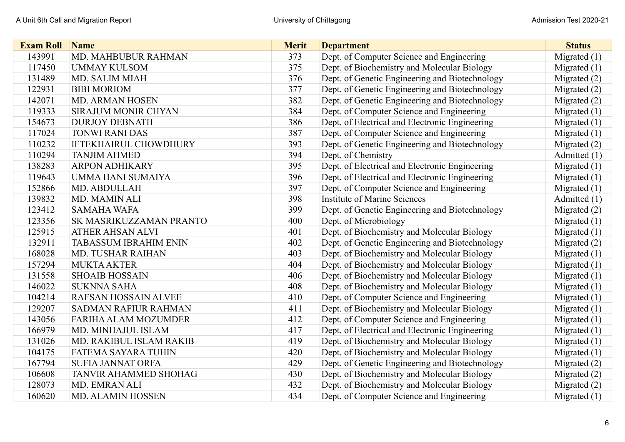| <b>Exam Roll</b> | Name                         | <b>Merit</b> | <b>Department</b>                              | <b>Status</b>  |
|------------------|------------------------------|--------------|------------------------------------------------|----------------|
| 143991           | MD. MAHBUBUR RAHMAN          | 373          | Dept. of Computer Science and Engineering      | Migrated $(1)$ |
| 117450           | <b>UMMAY KULSOM</b>          | 375          | Dept. of Biochemistry and Molecular Biology    | Migrated $(1)$ |
| 131489           | <b>MD. SALIM MIAH</b>        | 376          | Dept. of Genetic Engineering and Biotechnology | Migrated $(2)$ |
| 122931           | <b>BIBI MORIOM</b>           | 377          | Dept. of Genetic Engineering and Biotechnology | Migrated (2)   |
| 142071           | <b>MD. ARMAN HOSEN</b>       | 382          | Dept. of Genetic Engineering and Biotechnology | Migrated $(2)$ |
| 119333           | <b>SIRAJUM MONIR CHYAN</b>   | 384          | Dept. of Computer Science and Engineering      | Migrated $(1)$ |
| 154673           | <b>DURJOY DEBNATH</b>        | 386          | Dept. of Electrical and Electronic Engineering | Migrated $(1)$ |
| 117024           | <b>TONWI RANI DAS</b>        | 387          | Dept. of Computer Science and Engineering      | Migrated $(1)$ |
| 110232           | <b>IFTEKHAIRUL CHOWDHURY</b> | 393          | Dept. of Genetic Engineering and Biotechnology | Migrated $(2)$ |
| 110294           | <b>TANJIM AHMED</b>          | 394          | Dept. of Chemistry                             | Admitted (1)   |
| 138283           | <b>ARPON ADHIKARY</b>        | 395          | Dept. of Electrical and Electronic Engineering | Migrated $(1)$ |
| 119643           | UMMA HANI SUMAIYA            | 396          | Dept. of Electrical and Electronic Engineering | Migrated $(1)$ |
| 152866           | MD. ABDULLAH                 | 397          | Dept. of Computer Science and Engineering      | Migrated $(1)$ |
| 139832           | MD. MAMIN ALI                | 398          | <b>Institute of Marine Sciences</b>            | Admitted (1)   |
| 123412           | <b>SAMAHA WAFA</b>           | 399          | Dept. of Genetic Engineering and Biotechnology | Migrated $(2)$ |
| 123356           | SK MASRIKUZZAMAN PRANTO      | 400          | Dept. of Microbiology                          | Migrated $(1)$ |
| 125915           | ATHER AHSAN ALVI             | 401          | Dept. of Biochemistry and Molecular Biology    | Migrated $(1)$ |
| 132911           | <b>TABASSUM IBRAHIM ENIN</b> | 402          | Dept. of Genetic Engineering and Biotechnology | Migrated $(2)$ |
| 168028           | <b>MD. TUSHAR RAIHAN</b>     | 403          | Dept. of Biochemistry and Molecular Biology    | Migrated (1)   |
| 157294           | <b>MUKTA AKTER</b>           | 404          | Dept. of Biochemistry and Molecular Biology    | Migrated $(1)$ |
| 131558           | <b>SHOAIB HOSSAIN</b>        | 406          | Dept. of Biochemistry and Molecular Biology    | Migrated $(1)$ |
| 146022           | <b>SUKNNA SAHA</b>           | 408          | Dept. of Biochemistry and Molecular Biology    | Migrated $(1)$ |
| 104214           | <b>RAFSAN HOSSAIN ALVEE</b>  | 410          | Dept. of Computer Science and Engineering      | Migrated $(1)$ |
| 129207           | SADMAN RAFIUR RAHMAN         | 411          | Dept. of Biochemistry and Molecular Biology    | Migrated $(1)$ |
| 143056           | FARIHA ALAM MOZUMDER         | 412          | Dept. of Computer Science and Engineering      | Migrated $(1)$ |
| 166979           | MD. MINHAJUL ISLAM           | 417          | Dept. of Electrical and Electronic Engineering | Migrated $(1)$ |
| 131026           | MD. RAKIBUL ISLAM RAKIB      | 419          | Dept. of Biochemistry and Molecular Biology    | Migrated $(1)$ |
| 104175           | <b>FATEMA SAYARA TUHIN</b>   | 420          | Dept. of Biochemistry and Molecular Biology    | Migrated $(1)$ |
| 167794           | <b>SUFIA JANNAT ORFA</b>     | 429          | Dept. of Genetic Engineering and Biotechnology | Migrated $(2)$ |
| 106608           | TANVIR AHAMMED SHOHAG        | 430          | Dept. of Biochemistry and Molecular Biology    | Migrated $(2)$ |
| 128073           | MD. EMRAN ALI                | 432          | Dept. of Biochemistry and Molecular Biology    | Migrated $(2)$ |
| 160620           | <b>MD. ALAMIN HOSSEN</b>     | 434          | Dept. of Computer Science and Engineering      | Migrated $(1)$ |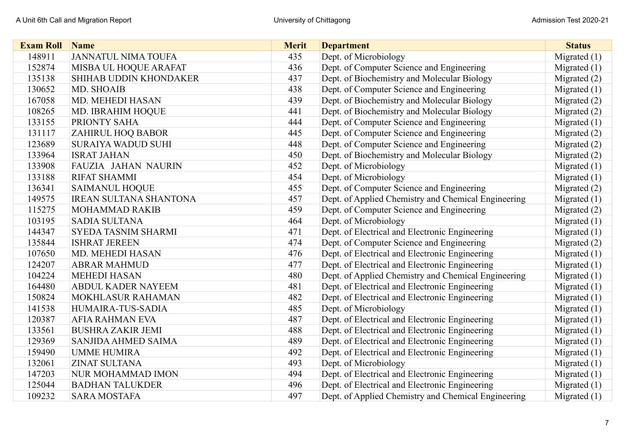| <b>Exam Roll</b> | Name                          | <b>Merit</b> | <b>Department</b>                                   | <b>Status</b>  |
|------------------|-------------------------------|--------------|-----------------------------------------------------|----------------|
| 148911           | <b>JANNATUL NIMA TOUFA</b>    | 435          | Dept. of Microbiology                               | Migrated $(1)$ |
| 152874           | MISBA UL HOQUE ARAFAT         | 436          | Dept. of Computer Science and Engineering           | Migrated $(1)$ |
| 135138           | <b>SHIHAB UDDIN KHONDAKER</b> | 437          | Dept. of Biochemistry and Molecular Biology         | Migrated $(2)$ |
| 130652           | MD. SHOAIB                    | 438          | Dept. of Computer Science and Engineering           | Migrated $(1)$ |
| 167058           | MD. MEHEDI HASAN              | 439          | Dept. of Biochemistry and Molecular Biology         | Migrated $(2)$ |
| 108265           | MD. IBRAHIM HOQUE             | 441          | Dept. of Biochemistry and Molecular Biology         | Migrated (2)   |
| 133155           | PRIONTY SAHA                  | 444          | Dept. of Computer Science and Engineering           | Migrated $(1)$ |
| 131117           | ZAHIRUL HOQ BABOR             | 445          | Dept. of Computer Science and Engineering           | Migrated $(2)$ |
| 123689           | <b>SURAIYA WADUD SUHI</b>     | 448          | Dept. of Computer Science and Engineering           | Migrated $(2)$ |
| 133964           | <b>ISRAT JAHAN</b>            | 450          | Dept. of Biochemistry and Molecular Biology         | Migrated (2)   |
| 133908           | FAUZIA JAHAN NAURIN           | 452          | Dept. of Microbiology                               | Migrated $(1)$ |
| 133188           | <b>RIFAT SHAMMI</b>           | 454          | Dept. of Microbiology                               | Migrated $(1)$ |
| 136341           | <b>SAIMANUL HOQUE</b>         | 455          | Dept. of Computer Science and Engineering           | Migrated $(2)$ |
| 149575           | <b>IREAN SULTANA SHANTONA</b> | 457          | Dept. of Applied Chemistry and Chemical Engineering | Migrated $(1)$ |
| 115275           | <b>MOHAMMAD RAKIB</b>         | 459          | Dept. of Computer Science and Engineering           | Migrated $(2)$ |
| 103195           | <b>SADIA SULTANA</b>          | 464          | Dept. of Microbiology                               | Migrated $(1)$ |
| 144347           | SYEDA TASNIM SHARMI           | 471          | Dept. of Electrical and Electronic Engineering      | Migrated $(1)$ |
| 135844           | <b>ISHRAT JEREEN</b>          | 474          | Dept. of Computer Science and Engineering           | Migrated $(2)$ |
| 107650           | MD. MEHEDI HASAN              | 476          | Dept. of Electrical and Electronic Engineering      | Migrated $(1)$ |
| 124207           | <b>ABRAR MAHMUD</b>           | 477          | Dept. of Electrical and Electronic Engineering      | Migrated $(1)$ |
| 104224           | <b>MEHEDI HASAN</b>           | 480          | Dept. of Applied Chemistry and Chemical Engineering | Migrated $(1)$ |
| 164480           | <b>ABDUL KADER NAYEEM</b>     | 481          | Dept. of Electrical and Electronic Engineering      | Migrated $(1)$ |
| 150824           | MOKHLASUR RAHAMAN             | 482          | Dept. of Electrical and Electronic Engineering      | Migrated $(1)$ |
| 141538           | HUMAIRA-TUS-SADIA             | 485          | Dept. of Microbiology                               | Migrated $(1)$ |
| 120387           | <b>AFIA RAHMAN EVA</b>        | 487          | Dept. of Electrical and Electronic Engineering      | Migrated $(1)$ |
| 133561           | <b>BUSHRA ZAKIR JEMI</b>      | 488          | Dept. of Electrical and Electronic Engineering      | Migrated $(1)$ |
| 129369           | SANJIDA AHMED SAIMA           | 489          | Dept. of Electrical and Electronic Engineering      | Migrated $(1)$ |
| 159490           | <b>UMME HUMIRA</b>            | 492          | Dept. of Electrical and Electronic Engineering      | Migrated $(1)$ |
| 132061           | <b>ZINAT SULTANA</b>          | 493          | Dept. of Microbiology                               | Migrated $(1)$ |
| 147203           | <b>NUR MOHAMMAD IMON</b>      | 494          | Dept. of Electrical and Electronic Engineering      | Migrated $(1)$ |
| 125044           | <b>BADHAN TALUKDER</b>        | 496          | Dept. of Electrical and Electronic Engineering      | Migrated $(1)$ |
| 109232           | <b>SARA MOSTAFA</b>           | 497          | Dept. of Applied Chemistry and Chemical Engineering | Migrated $(1)$ |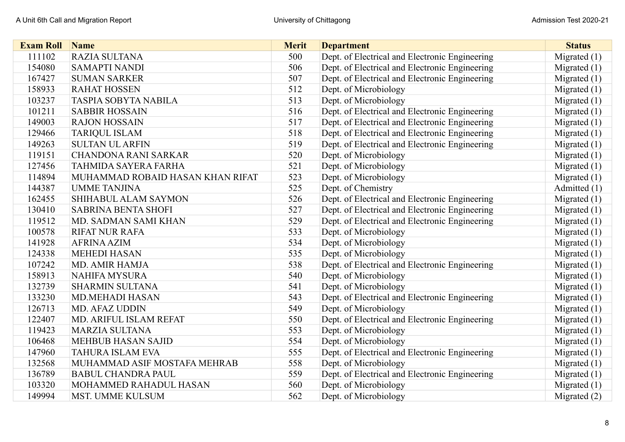| <b>Exam Roll</b> | <b>Name</b>                      | <b>Merit</b> | <b>Department</b>                              | <b>Status</b>  |
|------------------|----------------------------------|--------------|------------------------------------------------|----------------|
| 111102           | RAZIA SULTANA                    | 500          | Dept. of Electrical and Electronic Engineering | Migrated $(1)$ |
| 154080           | <b>SAMAPTI NANDI</b>             | 506          | Dept. of Electrical and Electronic Engineering | Migrated $(1)$ |
| 167427           | <b>SUMAN SARKER</b>              | 507          | Dept. of Electrical and Electronic Engineering | Migrated $(1)$ |
| 158933           | <b>RAHAT HOSSEN</b>              | 512          | Dept. of Microbiology                          | Migrated $(1)$ |
| 103237           | <b>TASPIA SOBYTA NABILA</b>      | 513          | Dept. of Microbiology                          | Migrated $(1)$ |
| 101211           | <b>SABBIR HOSSAIN</b>            | 516          | Dept. of Electrical and Electronic Engineering | Migrated $(1)$ |
| 149003           | <b>RAJON HOSSAIN</b>             | 517          | Dept. of Electrical and Electronic Engineering | Migrated $(1)$ |
| 129466           | <b>TARIQUL ISLAM</b>             | 518          | Dept. of Electrical and Electronic Engineering | Migrated $(1)$ |
| 149263           | <b>SULTAN UL ARFIN</b>           | 519          | Dept. of Electrical and Electronic Engineering | Migrated $(1)$ |
| 119151           | <b>CHANDONA RANI SARKAR</b>      | 520          | Dept. of Microbiology                          | Migrated $(1)$ |
| 127456           | <b>TAHMIDA SAYERA FARHA</b>      | 521          | Dept. of Microbiology                          | Migrated $(1)$ |
| 114894           | MUHAMMAD ROBAID HASAN KHAN RIFAT | 523          | Dept. of Microbiology                          | Migrated $(1)$ |
| 144387           | <b>UMME TANJINA</b>              | 525          | Dept. of Chemistry                             | Admitted (1)   |
| 162455           | SHIHABUL ALAM SAYMON             | 526          | Dept. of Electrical and Electronic Engineering | Migrated $(1)$ |
| 130410           | <b>SABRINA BENTA SHOFI</b>       | 527          | Dept. of Electrical and Electronic Engineering | Migrated $(1)$ |
| 119512           | MD. SADMAN SAMI KHAN             | 529          | Dept. of Electrical and Electronic Engineering | Migrated $(1)$ |
| 100578           | <b>RIFAT NUR RAFA</b>            | 533          | Dept. of Microbiology                          | Migrated $(1)$ |
| 141928           | <b>AFRINA AZIM</b>               | 534          | Dept. of Microbiology                          | Migrated $(1)$ |
| 124338           | <b>MEHEDI HASAN</b>              | 535          | Dept. of Microbiology                          | Migrated $(1)$ |
| 107242           | <b>MD. AMIR HAMJA</b>            | 538          | Dept. of Electrical and Electronic Engineering | Migrated $(1)$ |
| 158913           | <b>NAHIFA MYSURA</b>             | 540          | Dept. of Microbiology                          | Migrated $(1)$ |
| 132739           | <b>SHARMIN SULTANA</b>           | 541          | Dept. of Microbiology                          | Migrated $(1)$ |
| 133230           | <b>MD.MEHADI HASAN</b>           | 543          | Dept. of Electrical and Electronic Engineering | Migrated $(1)$ |
| 126713           | <b>MD. AFAZ UDDIN</b>            | 549          | Dept. of Microbiology                          | Migrated $(1)$ |
| 122407           | MD. ARIFUL ISLAM REFAT           | 550          | Dept. of Electrical and Electronic Engineering | Migrated $(1)$ |
| 119423           | <b>MARZIA SULTANA</b>            | 553          | Dept. of Microbiology                          | Migrated $(1)$ |
| 106468           | <b>MEHBUB HASAN SAJID</b>        | 554          | Dept. of Microbiology                          | Migrated $(1)$ |
| 147960           | <b>TAHURA ISLAM EVA</b>          | 555          | Dept. of Electrical and Electronic Engineering | Migrated $(1)$ |
| 132568           | MUHAMMAD ASIF MOSTAFA MEHRAB     | 558          | Dept. of Microbiology                          | Migrated $(1)$ |
| 136789           | <b>BABUL CHANDRA PAUL</b>        | 559          | Dept. of Electrical and Electronic Engineering | Migrated $(1)$ |
| 103320           | MOHAMMED RAHADUL HASAN           | 560          | Dept. of Microbiology                          | Migrated $(1)$ |
| 149994           | <b>MST. UMME KULSUM</b>          | 562          | Dept. of Microbiology                          | Migrated $(2)$ |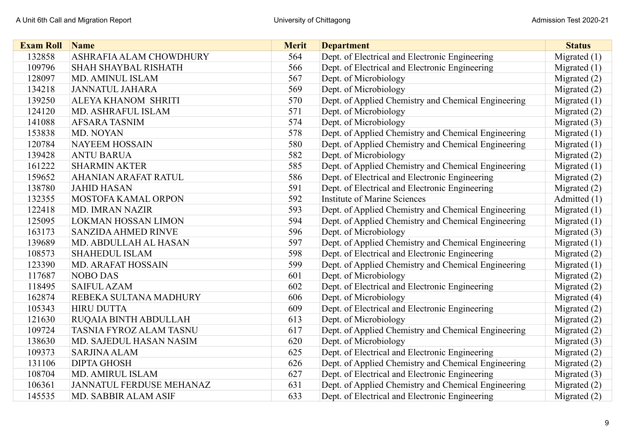| <b>Exam Roll</b> | <b>Name</b>                     | <b>Merit</b> | <b>Department</b>                                   | <b>Status</b>  |
|------------------|---------------------------------|--------------|-----------------------------------------------------|----------------|
| 132858           | ASHRAFIA ALAM CHOWDHURY         | 564          | Dept. of Electrical and Electronic Engineering      | Migrated (1)   |
| 109796           | <b>SHAH SHAYBAL RISHATH</b>     | 566          | Dept. of Electrical and Electronic Engineering      | Migrated $(1)$ |
| 128097           | <b>MD. AMINUL ISLAM</b>         | 567          | Dept. of Microbiology                               | Migrated $(2)$ |
| 134218           | <b>JANNATUL JAHARA</b>          | 569          | Dept. of Microbiology                               | Migrated $(2)$ |
| 139250           | ALEYA KHANOM SHRITI             | 570          | Dept. of Applied Chemistry and Chemical Engineering | Migrated $(1)$ |
| 124120           | MD. ASHRAFUL ISLAM              | 571          | Dept. of Microbiology                               | Migrated $(2)$ |
| 141088           | <b>AFSARA TASNIM</b>            | 574          | Dept. of Microbiology                               | Migrated $(3)$ |
| 153838           | MD. NOYAN                       | 578          | Dept. of Applied Chemistry and Chemical Engineering | Migrated (1)   |
| 120784           | <b>NAYEEM HOSSAIN</b>           | 580          | Dept. of Applied Chemistry and Chemical Engineering | Migrated (1)   |
| 139428           | <b>ANTU BARUA</b>               | 582          | Dept. of Microbiology                               | Migrated $(2)$ |
| 161222           | <b>SHARMIN AKTER</b>            | 585          | Dept. of Applied Chemistry and Chemical Engineering | Migrated (1)   |
| 159652           | <b>AHANIAN ARAFAT RATUL</b>     | 586          | Dept. of Electrical and Electronic Engineering      | Migrated $(2)$ |
| 138780           | <b>JAHID HASAN</b>              | 591          | Dept. of Electrical and Electronic Engineering      | Migrated (2)   |
| 132355           | <b>MOSTOFA KAMAL ORPON</b>      | 592          | <b>Institute of Marine Sciences</b>                 | Admitted (1)   |
| 122418           | <b>MD. IMRAN NAZIR</b>          | 593          | Dept. of Applied Chemistry and Chemical Engineering | Migrated $(1)$ |
| 125095           | <b>LOKMAN HOSSAN LIMON</b>      | 594          | Dept. of Applied Chemistry and Chemical Engineering | Migrated $(1)$ |
| 163173           | <b>SANZIDA AHMED RINVE</b>      | 596          | Dept. of Microbiology                               | Migrated (3)   |
| 139689           | MD. ABDULLAH AL HASAN           | 597          | Dept. of Applied Chemistry and Chemical Engineering | Migrated $(1)$ |
| 108573           | <b>SHAHEDUL ISLAM</b>           | 598          | Dept. of Electrical and Electronic Engineering      | Migrated $(2)$ |
| 123390           | <b>MD. ARAFAT HOSSAIN</b>       | 599          | Dept. of Applied Chemistry and Chemical Engineering | Migrated $(1)$ |
| 117687           | <b>NOBO DAS</b>                 | 601          | Dept. of Microbiology                               | Migrated $(2)$ |
| 118495           | <b>SAIFUL AZAM</b>              | 602          | Dept. of Electrical and Electronic Engineering      | Migrated $(2)$ |
| 162874           | REBEKA SULTANA MADHURY          | 606          | Dept. of Microbiology                               | Migrated (4)   |
| 105343           | <b>HIRU DUTTA</b>               | 609          | Dept. of Electrical and Electronic Engineering      | Migrated (2)   |
| 121630           | RUQAIA BINTH ABDULLAH           | 613          | Dept. of Microbiology                               | Migrated (2)   |
| 109724           | TASNIA FYROZ ALAM TASNU         | 617          | Dept. of Applied Chemistry and Chemical Engineering | Migrated $(2)$ |
| 138630           | MD. SAJEDUL HASAN NASIM         | 620          | Dept. of Microbiology                               | Migrated $(3)$ |
| 109373           | <b>SARJINA ALAM</b>             | 625          | Dept. of Electrical and Electronic Engineering      | Migrated $(2)$ |
| 131106           | <b>DIPTA GHOSH</b>              | 626          | Dept. of Applied Chemistry and Chemical Engineering | Migrated $(2)$ |
| 108704           | MD. AMIRUL ISLAM                | 627          | Dept. of Electrical and Electronic Engineering      | Migrated (3)   |
| 106361           | <b>JANNATUL FERDUSE MEHANAZ</b> | 631          | Dept. of Applied Chemistry and Chemical Engineering | Migrated $(2)$ |
| 145535           | MD. SABBIR ALAM ASIF            | 633          | Dept. of Electrical and Electronic Engineering      | Migrated $(2)$ |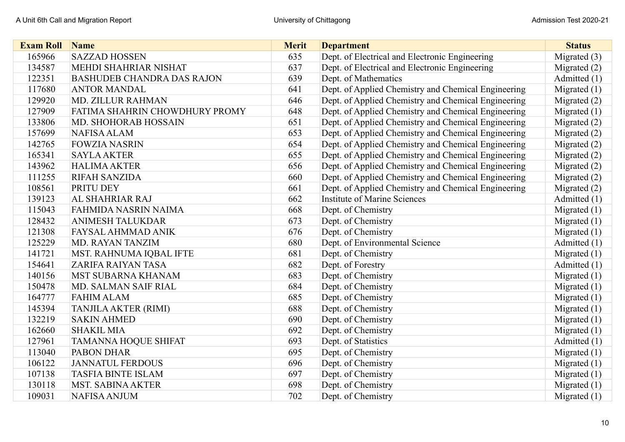| <b>Exam Roll</b> | <b>Name</b>                       | <b>Merit</b> | <b>Department</b>                                   | <b>Status</b>  |
|------------------|-----------------------------------|--------------|-----------------------------------------------------|----------------|
| 165966           | <b>SAZZAD HOSSEN</b>              | 635          | Dept. of Electrical and Electronic Engineering      | Migrated (3)   |
| 134587           | MEHDI SHAHRIAR NISHAT             | 637          | Dept. of Electrical and Electronic Engineering      | Migrated $(2)$ |
| 122351           | <b>BASHUDEB CHANDRA DAS RAJON</b> | 639          | Dept. of Mathematics                                | Admitted (1)   |
| 117680           | <b>ANTOR MANDAL</b>               | 641          | Dept. of Applied Chemistry and Chemical Engineering | Migrated $(1)$ |
| 129920           | <b>MD. ZILLUR RAHMAN</b>          | 646          | Dept. of Applied Chemistry and Chemical Engineering | Migrated (2)   |
| 127909           | FATIMA SHAHRIN CHOWDHURY PROMY    | 648          | Dept. of Applied Chemistry and Chemical Engineering | Migrated $(1)$ |
| 133806           | MD. SHOHORAB HOSSAIN              | 651          | Dept. of Applied Chemistry and Chemical Engineering | Migrated (2)   |
| 157699           | <b>NAFISA ALAM</b>                | 653          | Dept. of Applied Chemistry and Chemical Engineering | Migrated (2)   |
| 142765           | <b>FOWZIA NASRIN</b>              | 654          | Dept. of Applied Chemistry and Chemical Engineering | Migrated $(2)$ |
| 165341           | <b>SAYLA AKTER</b>                | 655          | Dept. of Applied Chemistry and Chemical Engineering | Migrated (2)   |
| 143962           | <b>HALIMA AKTER</b>               | 656          | Dept. of Applied Chemistry and Chemical Engineering | Migrated $(2)$ |
| 111255           | <b>RIFAH SANZIDA</b>              | 660          | Dept. of Applied Chemistry and Chemical Engineering | Migrated (2)   |
| 108561           | PRITU DEY                         | 661          | Dept. of Applied Chemistry and Chemical Engineering | Migrated $(2)$ |
| 139123           | AL SHAHRIAR RAJ                   | 662          | <b>Institute of Marine Sciences</b>                 | Admitted (1)   |
| 115043           | FAHMIDA NASRIN NAIMA              | 668          | Dept. of Chemistry                                  | Migrated $(1)$ |
| 128432           | <b>ANIMESH TALUKDAR</b>           | 673          | Dept. of Chemistry                                  | Migrated $(1)$ |
| 121308           | FAYSAL AHMMAD ANIK                | 676          | Dept. of Chemistry                                  | Migrated $(1)$ |
| 125229           | <b>MD. RAYAN TANZIM</b>           | 680          | Dept. of Environmental Science                      | Admitted (1)   |
| 141721           | MST. RAHNUMA IQBAL IFTE           | 681          | Dept. of Chemistry                                  | Migrated $(1)$ |
| 154641           | ZARIFA RAIYAN TASA                | 682          | Dept. of Forestry                                   | Admitted (1)   |
| 140156           | MST SUBARNA KHANAM                | 683          | Dept. of Chemistry                                  | Migrated $(1)$ |
| 150478           | MD. SALMAN SAIF RIAL              | 684          | Dept. of Chemistry                                  | Migrated $(1)$ |
| 164777           | <b>FAHIM ALAM</b>                 | 685          | Dept. of Chemistry                                  | Migrated $(1)$ |
| 145394           | <b>TANJILA AKTER (RIMI)</b>       | 688          | Dept. of Chemistry                                  | Migrated $(1)$ |
| 132219           | <b>SAKIN AHMED</b>                | 690          | Dept. of Chemistry                                  | Migrated $(1)$ |
| 162660           | <b>SHAKIL MIA</b>                 | 692          | Dept. of Chemistry                                  | Migrated $(1)$ |
| 127961           | <b>TAMANNA HOQUE SHIFAT</b>       | 693          | Dept. of Statistics                                 | Admitted (1)   |
| 113040           | <b>PABON DHAR</b>                 | 695          | Dept. of Chemistry                                  | Migrated $(1)$ |
| 106122           | <b>JANNATUL FERDOUS</b>           | 696          | Dept. of Chemistry                                  | Migrated $(1)$ |
| 107138           | <b>TASFIA BINTE ISLAM</b>         | 697          | Dept. of Chemistry                                  | Migrated $(1)$ |
| 130118           | <b>MST. SABINA AKTER</b>          | 698          | Dept. of Chemistry                                  | Migrated $(1)$ |
| 109031           | <b>NAFISA ANJUM</b>               | 702          | Dept. of Chemistry                                  | Migrated $(1)$ |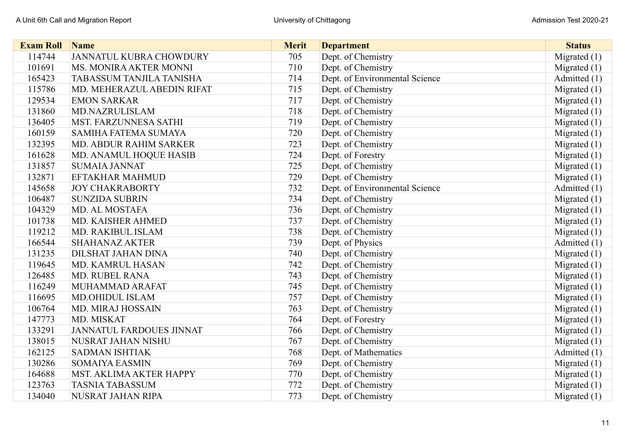| <b>Exam Roll</b> | Name                            | <b>Merit</b> | <b>Department</b>              | <b>Status</b>  |
|------------------|---------------------------------|--------------|--------------------------------|----------------|
| 114744           | JANNATUL KUBRA CHOWDURY         | 705          | Dept. of Chemistry             | Migrated $(1)$ |
| 101691           | MS. MONIRA AKTER MONNI          | 710          | Dept. of Chemistry             | Migrated $(1)$ |
| 165423           | TABASSUM TANJILA TANISHA        | 714          | Dept. of Environmental Science | Admitted (1)   |
| 115786           | MD. MEHERAZUL ABEDIN RIFAT      | 715          | Dept. of Chemistry             | Migrated $(1)$ |
| 129534           | <b>EMON SARKAR</b>              | 717          | Dept. of Chemistry             | Migrated $(1)$ |
| 131860           | <b>MD.NAZRULISLAM</b>           | 718          | Dept. of Chemistry             | Migrated $(1)$ |
| 136405           | <b>MST. FARZUNNESA SATHI</b>    | 719          | Dept. of Chemistry             | Migrated $(1)$ |
| 160159           | SAMIHA FATEMA SUMAYA            | 720          | Dept. of Chemistry             | Migrated $(1)$ |
| 132395           | MD. ABDUR RAHIM SARKER          | 723          | Dept. of Chemistry             | Migrated $(1)$ |
| 161628           | MD. ANAMUL HOQUE HASIB          | 724          | Dept. of Forestry              | Migrated $(1)$ |
| 131857           | <b>SUMAIA JANNAT</b>            | 725          | Dept. of Chemistry             | Migrated (1)   |
| 132871           | <b>EFTAKHAR MAHMUD</b>          | 729          | Dept. of Chemistry             | Migrated $(1)$ |
| 145658           | <b>JOY CHAKRABORTY</b>          | 732          | Dept. of Environmental Science | Admitted (1)   |
| 106487           | <b>SUNZIDA SUBRIN</b>           | 734          | Dept. of Chemistry             | Migrated $(1)$ |
| 104329           | MD. AL MOSTAFA                  | 736          | Dept. of Chemistry             | Migrated $(1)$ |
| 101738           | MD. KAISHER AHMED               | 737          | Dept. of Chemistry             | Migrated $(1)$ |
| 119212           | MD. RAKIBUL ISLAM               | 738          | Dept. of Chemistry             | Migrated $(1)$ |
| 166544           | <b>SHAHANAZ AKTER</b>           | 739          | Dept. of Physics               | Admitted (1)   |
| 131235           | <b>DILSHAT JAHAN DINA</b>       | 740          | Dept. of Chemistry             | Migrated $(1)$ |
| 119645           | <b>MD. KAMRUL HASAN</b>         | 742          | Dept. of Chemistry             | Migrated $(1)$ |
| 126485           | <b>MD. RUBEL RANA</b>           | 743          | Dept. of Chemistry             | Migrated $(1)$ |
| 116249           | MUHAMMAD ARAFAT                 | 745          | Dept. of Chemistry             | Migrated $(1)$ |
| 116695           | <b>MD.OHIDUL ISLAM</b>          | 757          | Dept. of Chemistry             | Migrated (1)   |
| 106764           | MD. MIRAJ HOSSAIN               | 763          | Dept. of Chemistry             | Migrated $(1)$ |
| 147773           | MD. MISKAT                      | 764          | Dept. of Forestry              | Migrated $(1)$ |
| 133291           | <b>JANNATUL FARDOUES JINNAT</b> | 766          | Dept. of Chemistry             | Migrated $(1)$ |
| 138015           | NUSRAT JAHAN NISHU              | 767          | Dept. of Chemistry             | Migrated $(1)$ |
| 162125           | <b>SADMAN ISHTIAK</b>           | 768          | Dept. of Mathematics           | Admitted (1)   |
| 130286           | <b>SOMAIYA EASMIN</b>           | 769          | Dept. of Chemistry             | Migrated $(1)$ |
| 164688           | MST. AKLIMA AKTER HAPPY         | 770          | Dept. of Chemistry             | Migrated $(1)$ |
| 123763           | <b>TASNIA TABASSUM</b>          | 772          | Dept. of Chemistry             | Migrated $(1)$ |
| 134040           | NUSRAT JAHAN RIPA               | 773          | Dept. of Chemistry             | Migrated $(1)$ |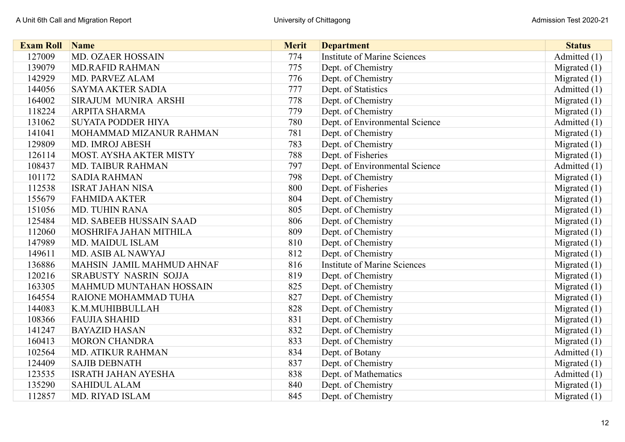| <b>Exam Roll</b> | <b>Name</b>                    | <b>Merit</b> | <b>Department</b>                   | <b>Status</b>  |
|------------------|--------------------------------|--------------|-------------------------------------|----------------|
| 127009           | MD. OZAER HOSSAIN              | 774          | <b>Institute of Marine Sciences</b> | Admitted (1)   |
| 139079           | <b>MD.RAFID RAHMAN</b>         | 775          | Dept. of Chemistry                  | Migrated $(1)$ |
| 142929           | MD. PARVEZ ALAM                | 776          | Dept. of Chemistry                  | Migrated $(1)$ |
| 144056           | <b>SAYMA AKTER SADIA</b>       | 777          | Dept. of Statistics                 | Admitted (1)   |
| 164002           | <b>SIRAJUM MUNIRA ARSHI</b>    | 778          | Dept. of Chemistry                  | Migrated $(1)$ |
| 118224           | <b>ARPITA SHARMA</b>           | 779          | Dept. of Chemistry                  | Migrated $(1)$ |
| 131062           | <b>SUYATA PODDER HIYA</b>      | 780          | Dept. of Environmental Science      | Admitted (1)   |
| 141041           | MOHAMMAD MIZANUR RAHMAN        | 781          | Dept. of Chemistry                  | Migrated $(1)$ |
| 129809           | <b>MD. IMROJ ABESH</b>         | 783          | Dept. of Chemistry                  | Migrated $(1)$ |
| 126114           | MOST. AYSHA AKTER MISTY        | 788          | Dept. of Fisheries                  | Migrated $(1)$ |
| 108437           | <b>MD. TAIBUR RAHMAN</b>       | 797          | Dept. of Environmental Science      | Admitted (1)   |
| 101172           | <b>SADIA RAHMAN</b>            | 798          | Dept. of Chemistry                  | Migrated $(1)$ |
| 112538           | <b>ISRAT JAHAN NISA</b>        | 800          | Dept. of Fisheries                  | Migrated $(1)$ |
| 155679           | <b>FAHMIDA AKTER</b>           | 804          | Dept. of Chemistry                  | Migrated $(1)$ |
| 151056           | <b>MD. TUHIN RANA</b>          | 805          | Dept. of Chemistry                  | Migrated $(1)$ |
| 125484           | MD. SABEEB HUSSAIN SAAD        | 806          | Dept. of Chemistry                  | Migrated $(1)$ |
| 112060           | MOSHRIFA JAHAN MITHILA         | 809          | Dept. of Chemistry                  | Migrated $(1)$ |
| 147989           | <b>MD. MAIDUL ISLAM</b>        | 810          | Dept. of Chemistry                  | Migrated $(1)$ |
| 149611           | MD. ASIB AL NAWYAJ             | 812          | Dept. of Chemistry                  | Migrated $(1)$ |
| 136886           | MAHSIN JAMIL MAHMUD AHNAF      | 816          | <b>Institute of Marine Sciences</b> | Migrated $(1)$ |
| 120216           | SRABUSTY NASRIN SOJJA          | 819          | Dept. of Chemistry                  | Migrated $(1)$ |
| 163305           | <b>MAHMUD MUNTAHAN HOSSAIN</b> | 825          | Dept. of Chemistry                  | Migrated $(1)$ |
| 164554           | RAIONE MOHAMMAD TUHA           | 827          | Dept. of Chemistry                  | Migrated (1)   |
| 144083           | K.M.MUHIBBULLAH                | 828          | Dept. of Chemistry                  | Migrated (1)   |
| 108366           | <b>FAUJIA SHAHID</b>           | 831          | Dept. of Chemistry                  | Migrated $(1)$ |
| 141247           | <b>BAYAZID HASAN</b>           | 832          | Dept. of Chemistry                  | Migrated $(1)$ |
| 160413           | <b>MORON CHANDRA</b>           | 833          | Dept. of Chemistry                  | Migrated $(1)$ |
| 102564           | <b>MD. ATIKUR RAHMAN</b>       | 834          | Dept. of Botany                     | Admitted (1)   |
| 124409           | <b>SAJIB DEBNATH</b>           | 837          | Dept. of Chemistry                  | Migrated $(1)$ |
| 123535           | <b>ISRATH JAHAN AYESHA</b>     | 838          | Dept. of Mathematics                | Admitted (1)   |
| 135290           | <b>SAHIDUL ALAM</b>            | 840          | Dept. of Chemistry                  | Migrated $(1)$ |
| 112857           | <b>MD. RIYAD ISLAM</b>         | 845          | Dept. of Chemistry                  | Migrated $(1)$ |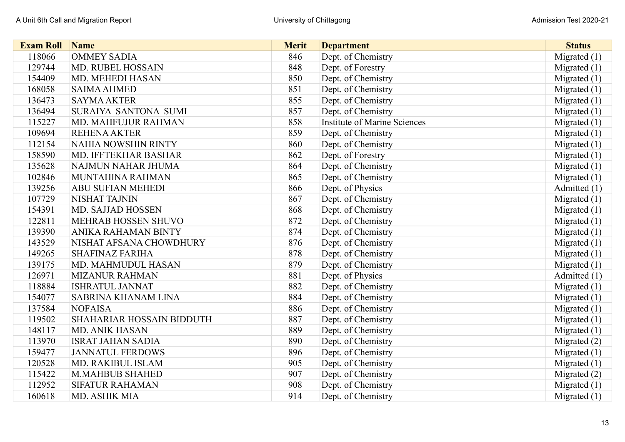| <b>Exam Roll</b> | <b>Name</b>                | <b>Merit</b> | <b>Department</b>                   | <b>Status</b>  |
|------------------|----------------------------|--------------|-------------------------------------|----------------|
| 118066           | <b>OMMEY SADIA</b>         | 846          | Dept. of Chemistry                  | Migrated (1)   |
| 129744           | MD. RUBEL HOSSAIN          | 848          | Dept. of Forestry                   | Migrated $(1)$ |
| 154409           | MD. MEHEDI HASAN           | 850          | Dept. of Chemistry                  | Migrated $(1)$ |
| 168058           | <b>SAIMA AHMED</b>         | 851          | Dept. of Chemistry                  | Migrated (1)   |
| 136473           | <b>SAYMA AKTER</b>         | 855          | Dept. of Chemistry                  | Migrated $(1)$ |
| 136494           | SURAIYA SANTONA SUMI       | 857          | Dept. of Chemistry                  | Migrated $(1)$ |
| 115227           | MD. MAHFUJUR RAHMAN        | 858          | <b>Institute of Marine Sciences</b> | Migrated $(1)$ |
| 109694           | <b>REHENA AKTER</b>        | 859          | Dept. of Chemistry                  | Migrated $(1)$ |
| 112154           | <b>NAHIA NOWSHIN RINTY</b> | 860          | Dept. of Chemistry                  | Migrated $(1)$ |
| 158590           | MD. IFFTEKHAR BASHAR       | 862          | Dept. of Forestry                   | Migrated $(1)$ |
| 135628           | NAJMUN NAHAR JHUMA         | 864          | Dept. of Chemistry                  | Migrated $(1)$ |
| 102846           | MUNTAHINA RAHMAN           | 865          | Dept. of Chemistry                  | Migrated $(1)$ |
| 139256           | <b>ABU SUFIAN MEHEDI</b>   | 866          | Dept. of Physics                    | Admitted (1)   |
| 107729           | NISHAT TAJNIN              | 867          | Dept. of Chemistry                  | Migrated $(1)$ |
| 154391           | <b>MD. SAJJAD HOSSEN</b>   | 868          | Dept. of Chemistry                  | Migrated $(1)$ |
| 122811           | MEHRAB HOSSEN SHUVO        | 872          | Dept. of Chemistry                  | Migrated $(1)$ |
| 139390           | ANIKA RAHAMAN BINTY        | 874          | Dept. of Chemistry                  | Migrated $(1)$ |
| 143529           | NISHAT AFSANA CHOWDHURY    | 876          | Dept. of Chemistry                  | Migrated $(1)$ |
| 149265           | <b>SHAFINAZ FARIHA</b>     | 878          | Dept. of Chemistry                  | Migrated $(1)$ |
| 139175           | MD. MAHMUDUL HASAN         | 879          | Dept. of Chemistry                  | Migrated $(1)$ |
| 126971           | <b>MIZANUR RAHMAN</b>      | 881          | Dept. of Physics                    | Admitted (1)   |
| 118884           | <b>ISHRATUL JANNAT</b>     | 882          | Dept. of Chemistry                  | Migrated $(1)$ |
| 154077           | SABRINA KHANAM LINA        | 884          | Dept. of Chemistry                  | Migrated $(1)$ |
| 137584           | <b>NOFAISA</b>             | 886          | Dept. of Chemistry                  | Migrated $(1)$ |
| 119502           | SHAHARIAR HOSSAIN BIDDUTH  | 887          | Dept. of Chemistry                  | Migrated $(1)$ |
| 148117           | <b>MD. ANIK HASAN</b>      | 889          | Dept. of Chemistry                  | Migrated $(1)$ |
| 113970           | <b>ISRAT JAHAN SADIA</b>   | 890          | Dept. of Chemistry                  | Migrated (2)   |
| 159477           | <b>JANNATUL FERDOWS</b>    | 896          | Dept. of Chemistry                  | Migrated $(1)$ |
| 120528           | <b>MD. RAKIBUL ISLAM</b>   | 905          | Dept. of Chemistry                  | Migrated $(1)$ |
| 115422           | <b>M.MAHBUB SHAHED</b>     | 907          | Dept. of Chemistry                  | Migrated (2)   |
| 112952           | <b>SIFATUR RAHAMAN</b>     | 908          | Dept. of Chemistry                  | Migrated $(1)$ |
| 160618           | MD. ASHIK MIA              | 914          | Dept. of Chemistry                  | Migrated $(1)$ |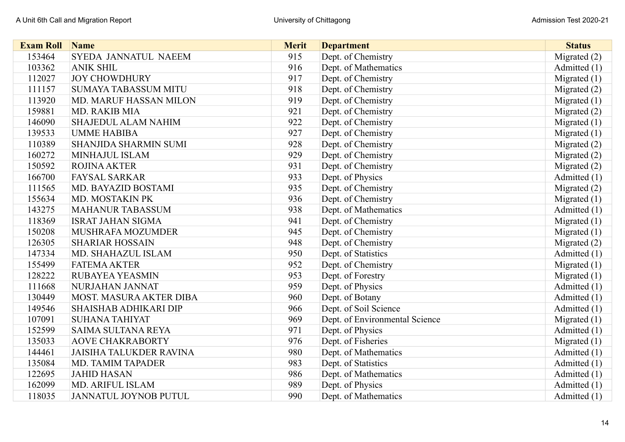| <b>Exam Roll</b> | <b>Name</b>                    | <b>Merit</b> | <b>Department</b>              | <b>Status</b>  |
|------------------|--------------------------------|--------------|--------------------------------|----------------|
| 153464           | SYEDA JANNATUL NAEEM           | 915          | Dept. of Chemistry             | Migrated (2)   |
| 103362           | <b>ANIK SHIL</b>               | 916          | Dept. of Mathematics           | Admitted (1)   |
| 112027           | <b>JOY CHOWDHURY</b>           | 917          | Dept. of Chemistry             | Migrated $(1)$ |
| 111157           | <b>SUMAYA TABASSUM MITU</b>    | 918          | Dept. of Chemistry             | Migrated $(2)$ |
| 113920           | <b>MD. MARUF HASSAN MILON</b>  | 919          | Dept. of Chemistry             | Migrated $(1)$ |
| 159881           | MD. RAKIB MIA                  | 921          | Dept. of Chemistry             | Migrated (2)   |
| 146090           | <b>SHAJEDUL ALAM NAHIM</b>     | 922          | Dept. of Chemistry             | Migrated (1)   |
| 139533           | <b>UMME HABIBA</b>             | 927          | Dept. of Chemistry             | Migrated $(1)$ |
| 110389           | <b>SHANJIDA SHARMIN SUMI</b>   | 928          | Dept. of Chemistry             | Migrated (2)   |
| 160272           | MINHAJUL ISLAM                 | 929          | Dept. of Chemistry             | Migrated (2)   |
| 150592           | <b>ROJINA AKTER</b>            | 931          | Dept. of Chemistry             | Migrated (2)   |
| 166700           | <b>FAYSAL SARKAR</b>           | 933          | Dept. of Physics               | Admitted (1)   |
| 111565           | MD. BAYAZID BOSTAMI            | 935          | Dept. of Chemistry             | Migrated (2)   |
| 155634           | MD. MOSTAKIN PK                | 936          | Dept. of Chemistry             | Migrated $(1)$ |
| 143275           | <b>MAHANUR TABASSUM</b>        | 938          | Dept. of Mathematics           | Admitted (1)   |
| 118369           | <b>ISRAT JAHAN SIGMA</b>       | 941          | Dept. of Chemistry             | Migrated $(1)$ |
| 150208           | MUSHRAFA MOZUMDER              | 945          | Dept. of Chemistry             | Migrated (1)   |
| 126305           | <b>SHARIAR HOSSAIN</b>         | 948          | Dept. of Chemistry             | Migrated $(2)$ |
| 147334           | MD. SHAHAZUL ISLAM             | 950          | Dept. of Statistics            | Admitted (1)   |
| 155499           | <b>FATEMA AKTER</b>            | 952          | Dept. of Chemistry             | Migrated $(1)$ |
| 128222           | <b>RUBAYEA YEASMIN</b>         | 953          | Dept. of Forestry              | Migrated (1)   |
| 111668           | NURJAHAN JANNAT                | 959          | Dept. of Physics               | Admitted (1)   |
| 130449           | MOST. MASURA AKTER DIBA        | 960          | Dept. of Botany                | Admitted (1)   |
| 149546           | <b>SHAISHAB ADHIKARI DIP</b>   | 966          | Dept. of Soil Science          | Admitted (1)   |
| 107091           | <b>SUHANA TAHIYAT</b>          | 969          | Dept. of Environmental Science | Migrated $(1)$ |
| 152599           | SAIMA SULTANA REYA             | 971          | Dept. of Physics               | Admitted (1)   |
| 135033           | <b>AOVE CHAKRABORTY</b>        | 976          | Dept. of Fisheries             | Migrated $(1)$ |
| 144461           | <b>JAISIHA TALUKDER RAVINA</b> | 980          | Dept. of Mathematics           | Admitted (1)   |
| 135084           | <b>MD. TAMIM TAPADER</b>       | 983          | Dept. of Statistics            | Admitted (1)   |
| 122695           | <b>JAHID HASAN</b>             | 986          | Dept. of Mathematics           | Admitted (1)   |
| 162099           | <b>MD. ARIFUL ISLAM</b>        | 989          | Dept. of Physics               | Admitted (1)   |
| 118035           | <b>JANNATUL JOYNOB PUTUL</b>   | 990          | Dept. of Mathematics           | Admitted (1)   |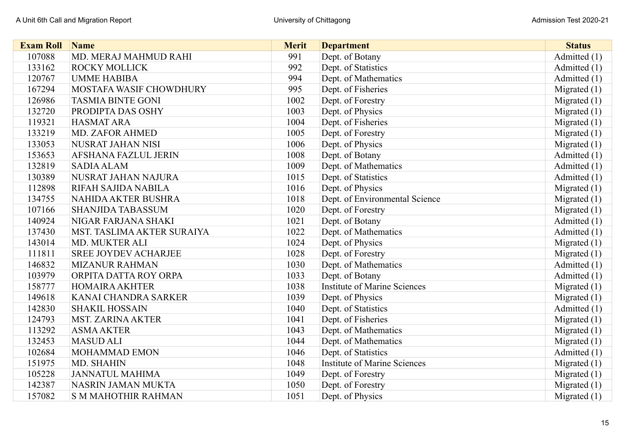| <b>Exam Roll</b> | <b>Name</b>                 | <b>Merit</b> | <b>Department</b>                   | <b>Status</b>  |
|------------------|-----------------------------|--------------|-------------------------------------|----------------|
| 107088           | MD. MERAJ MAHMUD RAHI       | 991          | Dept. of Botany                     | Admitted (1)   |
| 133162           | <b>ROCKY MOLLICK</b>        | 992          | Dept. of Statistics                 | Admitted (1)   |
| 120767           | <b>UMME HABIBA</b>          | 994          | Dept. of Mathematics                | Admitted (1)   |
| 167294           | MOSTAFA WASIF CHOWDHURY     | 995          | Dept. of Fisheries                  | Migrated $(1)$ |
| 126986           | <b>TASMIA BINTE GONI</b>    | 1002         | Dept. of Forestry                   | Migrated $(1)$ |
| 132720           | PRODIPTA DAS OSHY           | 1003         | Dept. of Physics                    | Migrated $(1)$ |
| 119321           | <b>HASMAT ARA</b>           | 1004         | Dept. of Fisheries                  | Migrated (1)   |
| 133219           | <b>MD. ZAFOR AHMED</b>      | 1005         | Dept. of Forestry                   | Migrated (1)   |
| 133053           | NUSRAT JAHAN NISI           | 1006         | Dept. of Physics                    | Migrated (1)   |
| 153653           | <b>AFSHANA FAZLUL JERIN</b> | 1008         | Dept. of Botany                     | Admitted (1)   |
| 132819           | <b>SADIA ALAM</b>           | 1009         | Dept. of Mathematics                | Admitted (1)   |
| 130389           | NUSRAT JAHAN NAJURA         | 1015         | Dept. of Statistics                 | Admitted (1)   |
| 112898           | RIFAH SAJIDA NABILA         | 1016         | Dept. of Physics                    | Migrated $(1)$ |
| 134755           | <b>NAHIDA AKTER BUSHRA</b>  | 1018         | Dept. of Environmental Science      | Migrated (1)   |
| 107166           | <b>SHANJIDA TABASSUM</b>    | 1020         | Dept. of Forestry                   | Migrated $(1)$ |
| 140924           | NIGAR FARJANA SHAKI         | 1021         | Dept. of Botany                     | Admitted (1)   |
| 137430           | MST. TASLIMA AKTER SURAIYA  | 1022         | Dept. of Mathematics                | Admitted (1)   |
| 143014           | MD. MUKTER ALI              | 1024         | Dept. of Physics                    | Migrated $(1)$ |
| 111811           | <b>SREE JOYDEV ACHARJEE</b> | 1028         | Dept. of Forestry                   | Migrated $(1)$ |
| 146832           | <b>MIZANUR RAHMAN</b>       | 1030         | Dept. of Mathematics                | Admitted (1)   |
| 103979           | ORPITA DATTA ROY ORPA       | 1033         | Dept. of Botany                     | Admitted (1)   |
| 158777           | <b>HOMAIRA AKHTER</b>       | 1038         | <b>Institute of Marine Sciences</b> | Migrated $(1)$ |
| 149618           | KANAI CHANDRA SARKER        | 1039         | Dept. of Physics                    | Migrated $(1)$ |
| 142830           | <b>SHAKIL HOSSAIN</b>       | 1040         | Dept. of Statistics                 | Admitted (1)   |
| 124793           | <b>MST. ZARINA AKTER</b>    | 1041         | Dept. of Fisheries                  | Migrated $(1)$ |
| 113292           | <b>ASMA AKTER</b>           | 1043         | Dept. of Mathematics                | Migrated (1)   |
| 132453           | <b>MASUD ALI</b>            | 1044         | Dept. of Mathematics                | Migrated $(1)$ |
| 102684           | <b>MOHAMMAD EMON</b>        | 1046         | Dept. of Statistics                 | Admitted (1)   |
| 151975           | MD. SHAHIN                  | 1048         | <b>Institute of Marine Sciences</b> | Migrated $(1)$ |
| 105228           | <b>JANNATUL MAHIMA</b>      | 1049         | Dept. of Forestry                   | Migrated (1)   |
| 142387           | NASRIN JAMAN MUKTA          | 1050         | Dept. of Forestry                   | Migrated (1)   |
| 157082           | <b>S M MAHOTHIR RAHMAN</b>  | 1051         | Dept. of Physics                    | Migrated $(1)$ |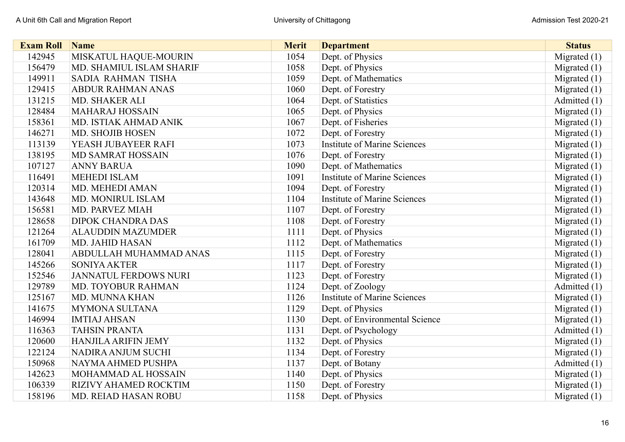| <b>Exam Roll</b> | <b>Name</b>                  | <b>Merit</b> | <b>Department</b>                   | <b>Status</b>  |
|------------------|------------------------------|--------------|-------------------------------------|----------------|
| 142945           | MISKATUL HAQUE-MOURIN        | 1054         | Dept. of Physics                    | Migrated (1)   |
| 156479           | MD. SHAMIUL ISLAM SHARIF     | 1058         | Dept. of Physics                    | Migrated $(1)$ |
| 149911           | SADIA RAHMAN TISHA           | 1059         | Dept. of Mathematics                | Migrated $(1)$ |
| 129415           | <b>ABDUR RAHMAN ANAS</b>     | 1060         | Dept. of Forestry                   | Migrated $(1)$ |
| 131215           | MD. SHAKER ALI               | 1064         | Dept. of Statistics                 | Admitted (1)   |
| 128484           | <b>MAHARAJ HOSSAIN</b>       | 1065         | Dept. of Physics                    | Migrated $(1)$ |
| 158361           | MD. ISTIAK AHMAD ANIK        | 1067         | Dept. of Fisheries                  | Migrated $(1)$ |
| 146271           | <b>MD. SHOJIB HOSEN</b>      | 1072         | Dept. of Forestry                   | Migrated (1)   |
| 113139           | YEASH JUBAYEER RAFI          | 1073         | <b>Institute of Marine Sciences</b> | Migrated (1)   |
| 138195           | MD SAMRAT HOSSAIN            | 1076         | Dept. of Forestry                   | Migrated (1)   |
| 107127           | <b>ANNY BARUA</b>            | 1090         | Dept. of Mathematics                | Migrated $(1)$ |
| 116491           | <b>MEHEDI ISLAM</b>          | 1091         | <b>Institute of Marine Sciences</b> | Migrated (1)   |
| 120314           | MD. MEHEDI AMAN              | 1094         | Dept. of Forestry                   | Migrated (1)   |
| 143648           | <b>MD. MONIRUL ISLAM</b>     | 1104         | <b>Institute of Marine Sciences</b> | Migrated $(1)$ |
| 156581           | <b>MD. PARVEZ MIAH</b>       | 1107         | Dept. of Forestry                   | Migrated $(1)$ |
| 128658           | <b>DIPOK CHANDRA DAS</b>     | 1108         | Dept. of Forestry                   | Migrated $(1)$ |
| 121264           | <b>ALAUDDIN MAZUMDER</b>     | 1111         | Dept. of Physics                    | Migrated $(1)$ |
| 161709           | <b>MD. JAHID HASAN</b>       | 1112         | Dept. of Mathematics                | Migrated (1)   |
| 128041           | ABDULLAH MUHAMMAD ANAS       | 1115         | Dept. of Forestry                   | Migrated (1)   |
| 145266           | <b>SONIYA AKTER</b>          | 1117         | Dept. of Forestry                   | Migrated $(1)$ |
| 152546           | <b>JANNATUL FERDOWS NURI</b> | 1123         | Dept. of Forestry                   | Migrated $(1)$ |
| 129789           | MD. TOYOBUR RAHMAN           | 1124         | Dept. of Zoology                    | Admitted (1)   |
| 125167           | <b>MD. MUNNA KHAN</b>        | 1126         | <b>Institute of Marine Sciences</b> | Migrated (1)   |
| 141675           | <b>MYMONA SULTANA</b>        | 1129         | Dept. of Physics                    | Migrated (1)   |
| 146994           | <b>IMTIAJ AHSAN</b>          | 1130         | Dept. of Environmental Science      | Migrated (1)   |
| 116363           | <b>TAHSIN PRANTA</b>         | 1131         | Dept. of Psychology                 | Admitted (1)   |
| 120600           | <b>HANJILA ARIFIN JEMY</b>   | 1132         | Dept. of Physics                    | Migrated (1)   |
| 122124           | <b>NADIRA ANJUM SUCHI</b>    | 1134         | Dept. of Forestry                   | Migrated $(1)$ |
| 150968           | NAYMA AHMED PUSHPA           | 1137         | Dept. of Botany                     | Admitted (1)   |
| 142623           | MOHAMMAD AL HOSSAIN          | 1140         | Dept. of Physics                    | Migrated $(1)$ |
| 106339           | RIZIVY AHAMED ROCKTIM        | 1150         | Dept. of Forestry                   | Migrated (1)   |
| 158196           | MD. REIAD HASAN ROBU         | 1158         | Dept. of Physics                    | Migrated $(1)$ |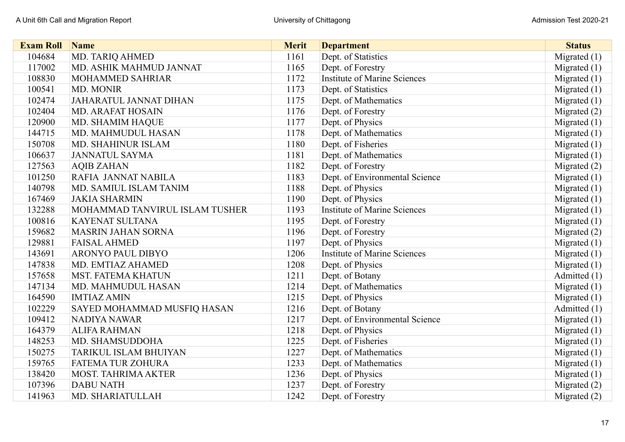| <b>Exam Roll</b> | <b>Name</b>                    | <b>Merit</b> | <b>Department</b>                   | <b>Status</b>  |
|------------------|--------------------------------|--------------|-------------------------------------|----------------|
| 104684           | MD. TARIQ AHMED                | 1161         | Dept. of Statistics                 | Migrated $(1)$ |
| 117002           | MD. ASHIK MAHMUD JANNAT        | 1165         | Dept. of Forestry                   | Migrated $(1)$ |
| 108830           | <b>MOHAMMED SAHRIAR</b>        | 1172         | <b>Institute of Marine Sciences</b> | Migrated $(1)$ |
| 100541           | MD. MONIR                      | 1173         | Dept. of Statistics                 | Migrated $(1)$ |
| 102474           | <b>JAHARATUL JANNAT DIHAN</b>  | 1175         | Dept. of Mathematics                | Migrated $(1)$ |
| 102404           | <b>MD. ARAFAT HOSAIN</b>       | 1176         | Dept. of Forestry                   | Migrated (2)   |
| 120900           | <b>MD. SHAMIM HAQUE</b>        | 1177         | Dept. of Physics                    | Migrated (1)   |
| 144715           | MD. MAHMUDUL HASAN             | 1178         | Dept. of Mathematics                | Migrated (1)   |
| 150708           | MD. SHAHINUR ISLAM             | 1180         | Dept. of Fisheries                  | Migrated $(1)$ |
| 106637           | <b>JANNATUL SAYMA</b>          | 1181         | Dept. of Mathematics                | Migrated (1)   |
| 127563           | <b>AQIB ZAHAN</b>              | 1182         | Dept. of Forestry                   | Migrated $(2)$ |
| 101250           | RAFIA JANNAT NABILA            | 1183         | Dept. of Environmental Science      | Migrated $(1)$ |
| 140798           | MD. SAMIUL ISLAM TANIM         | 1188         | Dept. of Physics                    | Migrated $(1)$ |
| 167469           | <b>JAKIA SHARMIN</b>           | 1190         | Dept. of Physics                    | Migrated $(1)$ |
| 132288           | MOHAMMAD TANVIRUL ISLAM TUSHER | 1193         | <b>Institute of Marine Sciences</b> | Migrated (1)   |
| 100816           | <b>KAYENAT SULTANA</b>         | 1195         | Dept. of Forestry                   | Migrated $(1)$ |
| 159682           | <b>MASRIN JAHAN SORNA</b>      | 1196         | Dept. of Forestry                   | Migrated (2)   |
| 129881           | <b>FAISAL AHMED</b>            | 1197         | Dept. of Physics                    | Migrated (1)   |
| 143691           | <b>ARONYO PAUL DIBYO</b>       | 1206         | <b>Institute of Marine Sciences</b> | Migrated (1)   |
| 147838           | MD. EMTIAZ AHAMED              | 1208         | Dept. of Physics                    | Migrated $(1)$ |
| 157658           | <b>MST. FATEMA KHATUN</b>      | 1211         | Dept. of Botany                     | Admitted (1)   |
| 147134           | MD. MAHMUDUL HASAN             | 1214         | Dept. of Mathematics                | Migrated (1)   |
| 164590           | <b>IMTIAZ AMIN</b>             | 1215         | Dept. of Physics                    | Migrated $(1)$ |
| 102229           | SAYED MOHAMMAD MUSFIQ HASAN    | 1216         | Dept. of Botany                     | Admitted (1)   |
| 109412           | NADIYA NAWAR                   | 1217         | Dept. of Environmental Science      | Migrated $(1)$ |
| 164379           | <b>ALIFA RAHMAN</b>            | 1218         | Dept. of Physics                    | Migrated (1)   |
| 148253           | MD. SHAMSUDDOHA                | 1225         | Dept. of Fisheries                  | Migrated (1)   |
| 150275           | <b>TARIKUL ISLAM BHUIYAN</b>   | 1227         | Dept. of Mathematics                | Migrated $(1)$ |
| 159765           | <b>FATEMA TUR ZOHURA</b>       | 1233         | Dept. of Mathematics                | Migrated $(1)$ |
| 138420           | <b>MOST. TAHRIMA AKTER</b>     | 1236         | Dept. of Physics                    | Migrated (1)   |
| 107396           | <b>DABU NATH</b>               | 1237         | Dept. of Forestry                   | Migrated $(2)$ |
| 141963           | MD. SHARIATULLAH               | 1242         | Dept. of Forestry                   | Migrated $(2)$ |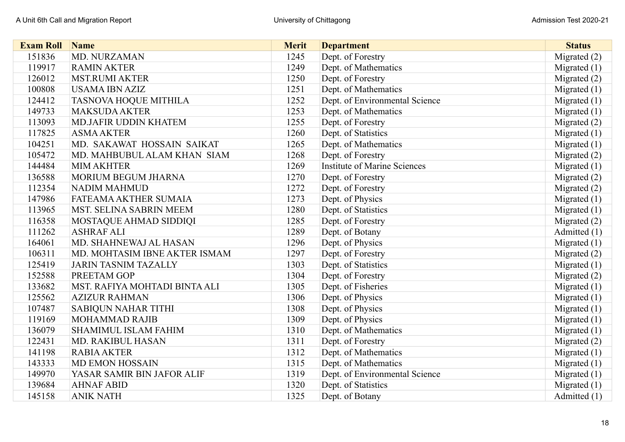| <b>Exam Roll</b> | Name                           | <b>Merit</b> | <b>Department</b>                   | <b>Status</b>  |
|------------------|--------------------------------|--------------|-------------------------------------|----------------|
| 151836           | MD. NURZAMAN                   | 1245         | Dept. of Forestry                   | Migrated (2)   |
| 119917           | <b>RAMIN AKTER</b>             | 1249         | Dept. of Mathematics                | Migrated $(1)$ |
| 126012           | <b>MST.RUMI AKTER</b>          | 1250         | Dept. of Forestry                   | Migrated (2)   |
| 100808           | <b>USAMA IBN AZIZ</b>          | 1251         | Dept. of Mathematics                | Migrated $(1)$ |
| 124412           | <b>TASNOVA HOQUE MITHILA</b>   | 1252         | Dept. of Environmental Science      | Migrated $(1)$ |
| 149733           | <b>MAKSUDA AKTER</b>           | 1253         | Dept. of Mathematics                | Migrated $(1)$ |
| 113093           | <b>MD.JAFIR UDDIN KHATEM</b>   | 1255         | Dept. of Forestry                   | Migrated (2)   |
| 117825           | <b>ASMA AKTER</b>              | 1260         | Dept. of Statistics                 | Migrated (1)   |
| 104251           | MD. SAKAWAT HOSSAIN SAIKAT     | 1265         | Dept. of Mathematics                | Migrated (1)   |
| 105472           | MD. MAHBUBUL ALAM KHAN SIAM    | 1268         | Dept. of Forestry                   | Migrated (2)   |
| 144484           | <b>MIM AKHTER</b>              | 1269         | <b>Institute of Marine Sciences</b> | Migrated $(1)$ |
| 136588           | <b>MORIUM BEGUM JHARNA</b>     | 1270         | Dept. of Forestry                   | Migrated (2)   |
| 112354           | <b>NADIM MAHMUD</b>            | 1272         | Dept. of Forestry                   | Migrated (2)   |
| 147986           | FATEAMA AKTHER SUMAIA          | 1273         | Dept. of Physics                    | Migrated $(1)$ |
| 113965           | <b>MST. SELINA SABRIN MEEM</b> | 1280         | Dept. of Statistics                 | Migrated $(1)$ |
| 116358           | MOSTAQUE AHMAD SIDDIQI         | 1285         | Dept. of Forestry                   | Migrated $(2)$ |
| 111262           | <b>ASHRAF ALI</b>              | 1289         | Dept. of Botany                     | Admitted (1)   |
| 164061           | MD. SHAHNEWAJ AL HASAN         | 1296         | Dept. of Physics                    | Migrated (1)   |
| 106311           | MD. MOHTASIM IBNE AKTER ISMAM  | 1297         | Dept. of Forestry                   | Migrated (2)   |
| 125419           | <b>JARIN TASNIM TAZALLY</b>    | 1303         | Dept. of Statistics                 | Migrated $(1)$ |
| 152588           | PREETAM GOP                    | 1304         | Dept. of Forestry                   | Migrated (2)   |
| 133682           | MST. RAFIYA MOHTADI BINTA ALI  | 1305         | Dept. of Fisheries                  | Migrated $(1)$ |
| 125562           | <b>AZIZUR RAHMAN</b>           | 1306         | Dept. of Physics                    | Migrated (1)   |
| 107487           | <b>SABIQUN NAHAR TITHI</b>     | 1308         | Dept. of Physics                    | Migrated (1)   |
| 119169           | <b>MOHAMMAD RAJIB</b>          | 1309         | Dept. of Physics                    | Migrated (1)   |
| 136079           | <b>SHAMIMUL ISLAM FAHIM</b>    | 1310         | Dept. of Mathematics                | Migrated $(1)$ |
| 122431           | <b>MD. RAKIBUL HASAN</b>       | 1311         | Dept. of Forestry                   | Migrated (2)   |
| 141198           | <b>RABIA AKTER</b>             | 1312         | Dept. of Mathematics                | Migrated (1)   |
| 143333           | <b>MD EMON HOSSAIN</b>         | 1315         | Dept. of Mathematics                | Migrated $(1)$ |
| 149970           | YASAR SAMIR BIN JAFOR ALIF     | 1319         | Dept. of Environmental Science      | Migrated $(1)$ |
| 139684           | <b>AHNAF ABID</b>              | 1320         | Dept. of Statistics                 | Migrated $(1)$ |
| 145158           | <b>ANIK NATH</b>               | 1325         | Dept. of Botany                     | Admitted (1)   |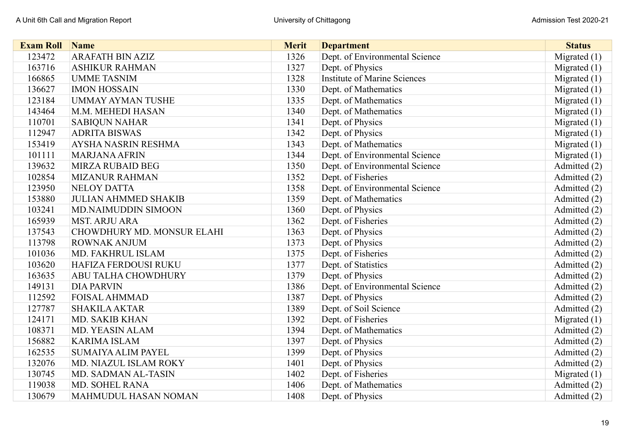| <b>Exam Roll</b> | <b>Name</b>                 | <b>Merit</b> | <b>Department</b>                   | <b>Status</b>  |
|------------------|-----------------------------|--------------|-------------------------------------|----------------|
| 123472           | <b>ARAFATH BIN AZIZ</b>     | 1326         | Dept. of Environmental Science      | Migrated $(1)$ |
| 163716           | <b>ASHIKUR RAHMAN</b>       | 1327         | Dept. of Physics                    | Migrated $(1)$ |
| 166865           | <b>UMME TASNIM</b>          | 1328         | <b>Institute of Marine Sciences</b> | Migrated $(1)$ |
| 136627           | <b>IMON HOSSAIN</b>         | 1330         | Dept. of Mathematics                | Migrated (1)   |
| 123184           | <b>UMMAY AYMAN TUSHE</b>    | 1335         | Dept. of Mathematics                | Migrated $(1)$ |
| 143464           | M.M. MEHEDI HASAN           | 1340         | Dept. of Mathematics                | Migrated $(1)$ |
| 110701           | <b>SABIQUN NAHAR</b>        | 1341         | Dept. of Physics                    | Migrated $(1)$ |
| 112947           | <b>ADRITA BISWAS</b>        | 1342         | Dept. of Physics                    | Migrated $(1)$ |
| 153419           | <b>AYSHA NASRIN RESHMA</b>  | 1343         | Dept. of Mathematics                | Migrated $(1)$ |
| 101111           | <b>MARJANA AFRIN</b>        | 1344         | Dept. of Environmental Science      | Migrated $(1)$ |
| 139632           | <b>MIRZA RUBAID BEG</b>     | 1350         | Dept. of Environmental Science      | Admitted (2)   |
| 102854           | <b>MIZANUR RAHMAN</b>       | 1352         | Dept. of Fisheries                  | Admitted (2)   |
| 123950           | <b>NELOY DATTA</b>          | 1358         | Dept. of Environmental Science      | Admitted (2)   |
| 153880           | <b>JULIAN AHMMED SHAKIB</b> | 1359         | Dept. of Mathematics                | Admitted (2)   |
| 103241           | <b>MD.NAIMUDDIN SIMOON</b>  | 1360         | Dept. of Physics                    | Admitted (2)   |
| 165939           | <b>MST. ARJU ARA</b>        | 1362         | Dept. of Fisheries                  | Admitted (2)   |
| 137543           | CHOWDHURY MD. MONSUR ELAHI  | 1363         | Dept. of Physics                    | Admitted (2)   |
| 113798           | <b>ROWNAK ANJUM</b>         | 1373         | Dept. of Physics                    | Admitted (2)   |
| 101036           | MD. FAKHRUL ISLAM           | 1375         | Dept. of Fisheries                  | Admitted (2)   |
| 103620           | HAFIZA FERDOUSI RUKU        | 1377         | Dept. of Statistics                 | Admitted (2)   |
| 163635           | ABU TALHA CHOWDHURY         | 1379         | Dept. of Physics                    | Admitted (2)   |
| 149131           | <b>DIA PARVIN</b>           | 1386         | Dept. of Environmental Science      | Admitted (2)   |
| 112592           | <b>FOISAL AHMMAD</b>        | 1387         | Dept. of Physics                    | Admitted (2)   |
| 127787           | <b>SHAKILA AKTAR</b>        | 1389         | Dept. of Soil Science               | Admitted (2)   |
| 124171           | <b>MD. SAKIB KHAN</b>       | 1392         | Dept. of Fisheries                  | Migrated $(1)$ |
| 108371           | <b>MD. YEASIN ALAM</b>      | 1394         | Dept. of Mathematics                | Admitted (2)   |
| 156882           | <b>KARIMA ISLAM</b>         | 1397         | Dept. of Physics                    | Admitted (2)   |
| 162535           | <b>SUMAIYA ALIM PAYEL</b>   | 1399         | Dept. of Physics                    | Admitted (2)   |
| 132076           | MD. NIAZUL ISLAM ROKY       | 1401         | Dept. of Physics                    | Admitted (2)   |
| 130745           | MD. SADMAN AL-TASIN         | 1402         | Dept. of Fisheries                  | Migrated $(1)$ |
| 119038           | MD. SOHEL RANA              | 1406         | Dept. of Mathematics                | Admitted (2)   |
| 130679           | <b>MAHMUDUL HASAN NOMAN</b> | 1408         | Dept. of Physics                    | Admitted (2)   |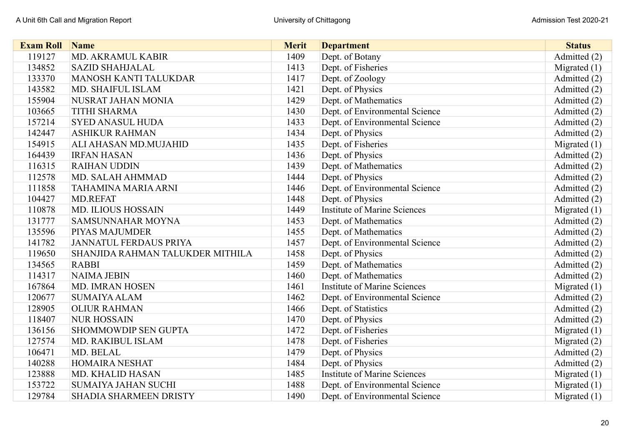| <b>Exam Roll</b> | Name                             | <b>Merit</b> | <b>Department</b>                   | <b>Status</b>  |
|------------------|----------------------------------|--------------|-------------------------------------|----------------|
| 119127           | MD. AKRAMUL KABIR                | 1409         | Dept. of Botany                     | Admitted (2)   |
| 134852           | <b>SAZID SHAHJALAL</b>           | 1413         | Dept. of Fisheries                  | Migrated $(1)$ |
| 133370           | <b>MANOSH KANTI TALUKDAR</b>     | 1417         | Dept. of Zoology                    | Admitted (2)   |
| 143582           | MD. SHAIFUL ISLAM                | 1421         | Dept. of Physics                    | Admitted (2)   |
| 155904           | NUSRAT JAHAN MONIA               | 1429         | Dept. of Mathematics                | Admitted (2)   |
| 103665           | <b>TITHI SHARMA</b>              | 1430         | Dept. of Environmental Science      | Admitted (2)   |
| 157214           | <b>SYED ANASUL HUDA</b>          | 1433         | Dept. of Environmental Science      | Admitted (2)   |
| 142447           | <b>ASHIKUR RAHMAN</b>            | 1434         | Dept. of Physics                    | Admitted (2)   |
| 154915           | ALI AHASAN MD.MUJAHID            | 1435         | Dept. of Fisheries                  | Migrated (1)   |
| 164439           | <b>IRFAN HASAN</b>               | 1436         | Dept. of Physics                    | Admitted (2)   |
| 116315           | <b>RAIHAN UDDIN</b>              | 1439         | Dept. of Mathematics                | Admitted (2)   |
| 112578           | MD. SALAH AHMMAD                 | 1444         | Dept. of Physics                    | Admitted (2)   |
| 111858           | TAHAMINA MARIA ARNI              | 1446         | Dept. of Environmental Science      | Admitted (2)   |
| 104427           | <b>MD.REFAT</b>                  | 1448         | Dept. of Physics                    | Admitted (2)   |
| 110878           | <b>MD. ILIOUS HOSSAIN</b>        | 1449         | <b>Institute of Marine Sciences</b> | Migrated $(1)$ |
| 131777           | SAMSUNNAHAR MOYNA                | 1453         | Dept. of Mathematics                | Admitted (2)   |
| 135596           | <b>PIYAS MAJUMDER</b>            | 1455         | Dept. of Mathematics                | Admitted (2)   |
| 141782           | <b>JANNATUL FERDAUS PRIYA</b>    | 1457         | Dept. of Environmental Science      | Admitted (2)   |
| 119650           | SHANJIDA RAHMAN TALUKDER MITHILA | 1458         | Dept. of Physics                    | Admitted (2)   |
| 134565           | <b>RABBI</b>                     | 1459         | Dept. of Mathematics                | Admitted (2)   |
| 114317           | <b>NAIMA JEBIN</b>               | 1460         | Dept. of Mathematics                | Admitted (2)   |
| 167864           | MD. IMRAN HOSEN                  | 1461         | <b>Institute of Marine Sciences</b> | Migrated $(1)$ |
| 120677           | <b>SUMAIYA ALAM</b>              | 1462         | Dept. of Environmental Science      | Admitted (2)   |
| 128905           | <b>OLIUR RAHMAN</b>              | 1466         | Dept. of Statistics                 | Admitted (2)   |
| 118407           | <b>NUR HOSSAIN</b>               | 1470         | Dept. of Physics                    | Admitted (2)   |
| 136156           | <b>SHOMMOWDIP SEN GUPTA</b>      | 1472         | Dept. of Fisheries                  | Migrated $(1)$ |
| 127574           | <b>MD. RAKIBUL ISLAM</b>         | 1478         | Dept. of Fisheries                  | Migrated $(2)$ |
| 106471           | MD. BELAL                        | 1479         | Dept. of Physics                    | Admitted (2)   |
| 140288           | <b>HOMAIRA NESHAT</b>            | 1484         | Dept. of Physics                    | Admitted (2)   |
| 123888           | <b>MD. KHALID HASAN</b>          | 1485         | <b>Institute of Marine Sciences</b> | Migrated $(1)$ |
| 153722           | <b>SUMAIYA JAHAN SUCHI</b>       | 1488         | Dept. of Environmental Science      | Migrated $(1)$ |
| 129784           | <b>SHADIA SHARMEEN DRISTY</b>    | 1490         | Dept. of Environmental Science      | Migrated $(1)$ |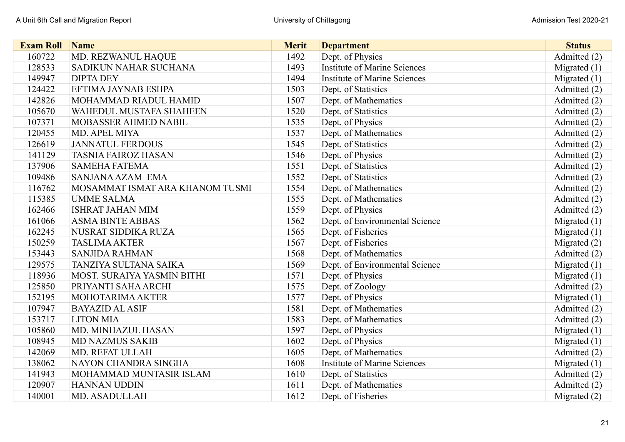| <b>Exam Roll</b> | Name                            | <b>Merit</b> | <b>Department</b>                   | <b>Status</b>  |
|------------------|---------------------------------|--------------|-------------------------------------|----------------|
| 160722           | MD. REZWANUL HAQUE              | 1492         | Dept. of Physics                    | Admitted (2)   |
| 128533           | SADIKUN NAHAR SUCHANA           | 1493         | <b>Institute of Marine Sciences</b> | Migrated (1)   |
| 149947           | <b>DIPTA DEY</b>                | 1494         | <b>Institute of Marine Sciences</b> | Migrated (1)   |
| 124422           | EFTIMA JAYNAB ESHPA             | 1503         | Dept. of Statistics                 | Admitted (2)   |
| 142826           | MOHAMMAD RIADUL HAMID           | 1507         | Dept. of Mathematics                | Admitted (2)   |
| 105670           | <b>WAHEDUL MUSTAFA SHAHEEN</b>  | 1520         | Dept. of Statistics                 | Admitted (2)   |
| 107371           | <b>MOBASSER AHMED NABIL</b>     | 1535         | Dept. of Physics                    | Admitted (2)   |
| 120455           | MD. APEL MIYA                   | 1537         | Dept. of Mathematics                | Admitted (2)   |
| 126619           | <b>JANNATUL FERDOUS</b>         | 1545         | Dept. of Statistics                 | Admitted (2)   |
| 141129           | <b>TASNIA FAIROZ HASAN</b>      | 1546         | Dept. of Physics                    | Admitted (2)   |
| 137906           | <b>SAMEHA FATEMA</b>            | 1551         | Dept. of Statistics                 | Admitted (2)   |
| 109486           | SANJANA AZAM EMA                | 1552         | Dept. of Statistics                 | Admitted (2)   |
| 116762           | MOSAMMAT ISMAT ARA KHANOM TUSMI | 1554         | Dept. of Mathematics                | Admitted (2)   |
| 115385           | <b>UMME SALMA</b>               | 1555         | Dept. of Mathematics                | Admitted (2)   |
| 162466           | <b>ISHRAT JAHAN MIM</b>         | 1559         | Dept. of Physics                    | Admitted (2)   |
| 161066           | <b>ASMA BINTE ABBAS</b>         | 1562         | Dept. of Environmental Science      | Migrated (1)   |
| 162245           | NUSRAT SIDDIKA RUZA             | 1565         | Dept. of Fisheries                  | Migrated $(1)$ |
| 150259           | <b>TASLIMA AKTER</b>            | 1567         | Dept. of Fisheries                  | Migrated (2)   |
| 153443           | <b>SANJIDA RAHMAN</b>           | 1568         | Dept. of Mathematics                | Admitted (2)   |
| 129575           | TANZIYA SULTANA SAIKA           | 1569         | Dept. of Environmental Science      | Migrated (1)   |
| 118936           | MOST. SURAIYA YASMIN BITHI      | 1571         | Dept. of Physics                    | Migrated (1)   |
| 125850           | PRIYANTI SAHA ARCHI             | 1575         | Dept. of Zoology                    | Admitted (2)   |
| 152195           | MOHOTARIMA AKTER                | 1577         | Dept. of Physics                    | Migrated (1)   |
| 107947           | <b>BAYAZID AL ASIF</b>          | 1581         | Dept. of Mathematics                | Admitted (2)   |
| 153717           | <b>LITON MIA</b>                | 1583         | Dept. of Mathematics                | Admitted (2)   |
| 105860           | MD. MINHAZUL HASAN              | 1597         | Dept. of Physics                    | Migrated $(1)$ |
| 108945           | <b>MD NAZMUS SAKIB</b>          | 1602         | Dept. of Physics                    | Migrated $(1)$ |
| 142069           | <b>MD. REFAT ULLAH</b>          | 1605         | Dept. of Mathematics                | Admitted (2)   |
| 138062           | NAYON CHANDRA SINGHA            | 1608         | <b>Institute of Marine Sciences</b> | Migrated $(1)$ |
| 141943           | MOHAMMAD MUNTASIR ISLAM         | 1610         | Dept. of Statistics                 | Admitted (2)   |
| 120907           | <b>HANNAN UDDIN</b>             | 1611         | Dept. of Mathematics                | Admitted (2)   |
| 140001           | <b>MD. ASADULLAH</b>            | 1612         | Dept. of Fisheries                  | Migrated (2)   |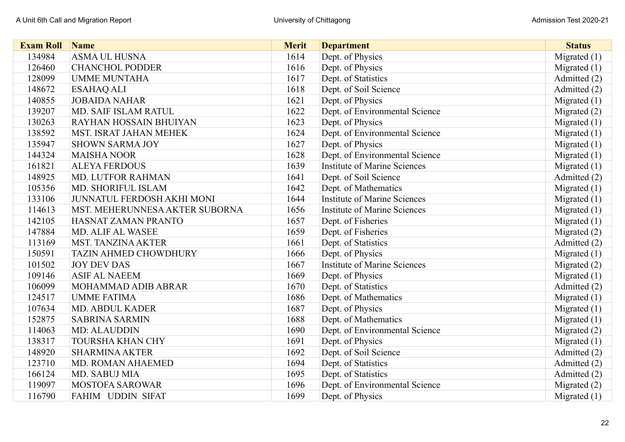| <b>Exam Roll</b> | Name                              | <b>Merit</b> | <b>Department</b>                   | <b>Status</b>  |
|------------------|-----------------------------------|--------------|-------------------------------------|----------------|
| 134984           | <b>ASMA UL HUSNA</b>              | 1614         | Dept. of Physics                    | Migrated (1)   |
| 126460           | <b>CHANCHOL PODDER</b>            | 1616         | Dept. of Physics                    | Migrated $(1)$ |
| 128099           | <b>UMME MUNTAHA</b>               | 1617         | Dept. of Statistics                 | Admitted (2)   |
| 148672           | <b>ESAHAQ ALI</b>                 | 1618         | Dept. of Soil Science               | Admitted (2)   |
| 140855           | <b>JOBAIDA NAHAR</b>              | 1621         | Dept. of Physics                    | Migrated $(1)$ |
| 139207           | MD. SAIF ISLAM RATUL              | 1622         | Dept. of Environmental Science      | Migrated (2)   |
| 130263           | RAYHAN HOSSAIN BHUIYAN            | 1623         | Dept. of Physics                    | Migrated $(1)$ |
| 138592           | <b>MST. ISRAT JAHAN MEHEK</b>     | 1624         | Dept. of Environmental Science      | Migrated (1)   |
| 135947           | <b>SHOWN SARMA JOY</b>            | 1627         | Dept. of Physics                    | Migrated (1)   |
| 144324           | <b>MAISHA NOOR</b>                | 1628         | Dept. of Environmental Science      | Migrated (1)   |
| 161821           | <b>ALEYA FERDOUS</b>              | 1639         | <b>Institute of Marine Sciences</b> | Migrated (1)   |
| 148925           | <b>MD. LUTFOR RAHMAN</b>          | 1641         | Dept. of Soil Science               | Admitted (2)   |
| 105356           | MD. SHORIFUL ISLAM                | 1642         | Dept. of Mathematics                | Migrated $(1)$ |
| 133106           | <b>JUNNATUL FERDOSH AKHI MONI</b> | 1644         | <b>Institute of Marine Sciences</b> | Migrated (1)   |
| 114613           | MST. MEHERUNNESA AKTER SUBORNA    | 1656         | <b>Institute of Marine Sciences</b> | Migrated $(1)$ |
| 142105           | HASNAT ZAMAN PRANTO               | 1657         | Dept. of Fisheries                  | Migrated (1)   |
| 147884           | <b>MD. ALIF AL WASEE</b>          | 1659         | Dept. of Fisheries                  | Migrated (2)   |
| 113169           | <b>MST. TANZINA AKTER</b>         | 1661         | Dept. of Statistics                 | Admitted (2)   |
| 150591           | <b>TAZIN AHMED CHOWDHURY</b>      | 1666         | Dept. of Physics                    | Migrated (1)   |
| 101502           | <b>JOY DEV DAS</b>                | 1667         | <b>Institute of Marine Sciences</b> | Migrated (2)   |
| 109146           | <b>ASIF AL NAEEM</b>              | 1669         | Dept. of Physics                    | Migrated $(1)$ |
| 106099           | MOHAMMAD ADIB ABRAR               | 1670         | Dept. of Statistics                 | Admitted (2)   |
| 124517           | <b>UMME FATIMA</b>                | 1686         | Dept. of Mathematics                | Migrated $(1)$ |
| 107634           | <b>MD. ABDUL KADER</b>            | 1687         | Dept. of Physics                    | Migrated $(1)$ |
| 152875           | <b>SABRINA SARMIN</b>             | 1688         | Dept. of Mathematics                | Migrated (1)   |
| 114063           | MD: ALAUDDIN                      | 1690         | Dept. of Environmental Science      | Migrated (2)   |
| 138317           | <b>TOURSHA KHAN CHY</b>           | 1691         | Dept. of Physics                    | Migrated (1)   |
| 148920           | <b>SHARMINA AKTER</b>             | 1692         | Dept. of Soil Science               | Admitted (2)   |
| 123710           | <b>MD. ROMAN AHAEMED</b>          | 1694         | Dept. of Statistics                 | Admitted (2)   |
| 166124           | MD. SABUJ MIA                     | 1695         | Dept. of Statistics                 | Admitted (2)   |
| 119097           | <b>MOSTOFA SAROWAR</b>            | 1696         | Dept. of Environmental Science      | Migrated (2)   |
| 116790           | FAHIM UDDIN SIFAT                 | 1699         | Dept. of Physics                    | Migrated $(1)$ |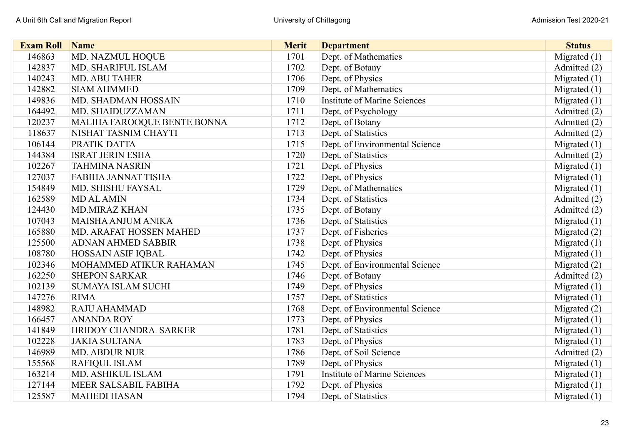| <b>Exam Roll</b> | <b>Name</b>                 | <b>Merit</b> | <b>Department</b>                   | <b>Status</b>  |
|------------------|-----------------------------|--------------|-------------------------------------|----------------|
| 146863           | MD. NAZMUL HOQUE            | 1701         | Dept. of Mathematics                | Migrated $(1)$ |
| 142837           | MD. SHARIFUL ISLAM          | 1702         | Dept. of Botany                     | Admitted (2)   |
| 140243           | <b>MD. ABU TAHER</b>        | 1706         | Dept. of Physics                    | Migrated $(1)$ |
| 142882           | <b>SIAM AHMMED</b>          | 1709         | Dept. of Mathematics                | Migrated $(1)$ |
| 149836           | MD. SHADMAN HOSSAIN         | 1710         | <b>Institute of Marine Sciences</b> | Migrated $(1)$ |
| 164492           | MD. SHAIDUZZAMAN            | 1711         | Dept. of Psychology                 | Admitted (2)   |
| 120237           | MALIHA FAROOQUE BENTE BONNA | 1712         | Dept. of Botany                     | Admitted (2)   |
| 118637           | NISHAT TASNIM CHAYTI        | 1713         | Dept. of Statistics                 | Admitted (2)   |
| 106144           | PRATIK DATTA                | 1715         | Dept. of Environmental Science      | Migrated $(1)$ |
| 144384           | <b>ISRAT JERIN ESHA</b>     | 1720         | Dept. of Statistics                 | Admitted (2)   |
| 102267           | <b>TAHMINA NASRIN</b>       | 1721         | Dept. of Physics                    | Migrated $(1)$ |
| 127037           | FABIHA JANNAT TISHA         | 1722         | Dept. of Physics                    | Migrated $(1)$ |
| 154849           | MD. SHISHU FAYSAL           | 1729         | Dept. of Mathematics                | Migrated $(1)$ |
| 162589           | <b>MD AL AMIN</b>           | 1734         | Dept. of Statistics                 | Admitted (2)   |
| 124430           | <b>MD.MIRAZ KHAN</b>        | 1735         | Dept. of Botany                     | Admitted (2)   |
| 107043           | MAISHA ANJUM ANIKA          | 1736         | Dept. of Statistics                 | Migrated $(1)$ |
| 165880           | MD. ARAFAT HOSSEN MAHED     | 1737         | Dept. of Fisheries                  | Migrated (2)   |
| 125500           | <b>ADNAN AHMED SABBIR</b>   | 1738         | Dept. of Physics                    | Migrated $(1)$ |
| 108780           | <b>HOSSAIN ASIF IQBAL</b>   | 1742         | Dept. of Physics                    | Migrated (1)   |
| 102346           | MOHAMMED ATIKUR RAHAMAN     | 1745         | Dept. of Environmental Science      | Migrated (2)   |
| 162250           | <b>SHEPON SARKAR</b>        | 1746         | Dept. of Botany                     | Admitted (2)   |
| 102139           | <b>SUMAYA ISLAM SUCHI</b>   | 1749         | Dept. of Physics                    | Migrated $(1)$ |
| 147276           | <b>RIMA</b>                 | 1757         | Dept. of Statistics                 | Migrated $(1)$ |
| 148982           | <b>RAJU AHAMMAD</b>         | 1768         | Dept. of Environmental Science      | Migrated $(2)$ |
| 166457           | <b>ANANDA ROY</b>           | 1773         | Dept. of Physics                    | Migrated $(1)$ |
| 141849           | HRIDOY CHANDRA SARKER       | 1781         | Dept. of Statistics                 | Migrated $(1)$ |
| 102228           | <b>JAKIA SULTANA</b>        | 1783         | Dept. of Physics                    | Migrated $(1)$ |
| 146989           | <b>MD. ABDUR NUR</b>        | 1786         | Dept. of Soil Science               | Admitted (2)   |
| 155568           | <b>RAFIQUL ISLAM</b>        | 1789         | Dept. of Physics                    | Migrated $(1)$ |
| 163214           | MD. ASHIKUL ISLAM           | 1791         | <b>Institute of Marine Sciences</b> | Migrated $(1)$ |
| 127144           | MEER SALSABIL FABIHA        | 1792         | Dept. of Physics                    | Migrated $(1)$ |
| 125587           | <b>MAHEDI HASAN</b>         | 1794         | Dept. of Statistics                 | Migrated $(1)$ |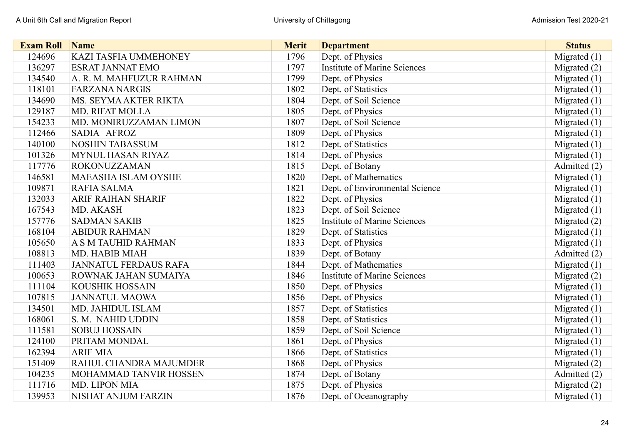| <b>Exam Roll</b> | <b>Name</b>                  | <b>Merit</b> | <b>Department</b>                   | <b>Status</b>  |
|------------------|------------------------------|--------------|-------------------------------------|----------------|
| 124696           | <b>KAZI TASFIA UMMEHONEY</b> | 1796         | Dept. of Physics                    | Migrated (1)   |
| 136297           | <b>ESRAT JANNAT EMO</b>      | 1797         | <b>Institute of Marine Sciences</b> | Migrated $(2)$ |
| 134540           | A. R. M. MAHFUZUR RAHMAN     | 1799         | Dept. of Physics                    | Migrated $(1)$ |
| 118101           | <b>FARZANA NARGIS</b>        | 1802         | Dept. of Statistics                 | Migrated $(1)$ |
| 134690           | MS. SEYMA AKTER RIKTA        | 1804         | Dept. of Soil Science               | Migrated $(1)$ |
| 129187           | <b>MD. RIFAT MOLLA</b>       | 1805         | Dept. of Physics                    | Migrated $(1)$ |
| 154233           | MD. MONIRUZZAMAN LIMON       | 1807         | Dept. of Soil Science               | Migrated $(1)$ |
| 112466           | SADIA AFROZ                  | 1809         | Dept. of Physics                    | Migrated (1)   |
| 140100           | <b>NOSHIN TABASSUM</b>       | 1812         | Dept. of Statistics                 | Migrated (1)   |
| 101326           | <b>MYNUL HASAN RIYAZ</b>     | 1814         | Dept. of Physics                    | Migrated (1)   |
| 117776           | <b>ROKONUZZAMAN</b>          | 1815         | Dept. of Botany                     | Admitted (2)   |
| 146581           | <b>MAEASHA ISLAM OYSHE</b>   | 1820         | Dept. of Mathematics                | Migrated (1)   |
| 109871           | RAFIA SALMA                  | 1821         | Dept. of Environmental Science      | Migrated $(1)$ |
| 132033           | <b>ARIF RAIHAN SHARIF</b>    | 1822         | Dept. of Physics                    | Migrated $(1)$ |
| 167543           | MD. AKASH                    | 1823         | Dept. of Soil Science               | Migrated $(1)$ |
| 157776           | <b>SADMAN SAKIB</b>          | 1825         | <b>Institute of Marine Sciences</b> | Migrated (2)   |
| 168104           | <b>ABIDUR RAHMAN</b>         | 1829         | Dept. of Statistics                 | Migrated $(1)$ |
| 105650           | A S M TAUHID RAHMAN          | 1833         | Dept. of Physics                    | Migrated (1)   |
| 108813           | MD. HABIB MIAH               | 1839         | Dept. of Botany                     | Admitted (2)   |
| 111403           | <b>JANNATUL FERDAUS RAFA</b> | 1844         | Dept. of Mathematics                | Migrated $(1)$ |
| 100653           | ROWNAK JAHAN SUMAIYA         | 1846         | <b>Institute of Marine Sciences</b> | Migrated (2)   |
| 111104           | <b>KOUSHIK HOSSAIN</b>       | 1850         | Dept. of Physics                    | Migrated $(1)$ |
| 107815           | <b>JANNATUL MAOWA</b>        | 1856         | Dept. of Physics                    | Migrated (1)   |
| 134501           | MD. JAHIDUL ISLAM            | 1857         | Dept. of Statistics                 | Migrated (1)   |
| 168061           | S. M. NAHID UDDIN            | 1858         | Dept. of Statistics                 | Migrated (1)   |
| 111581           | <b>SOBUJ HOSSAIN</b>         | 1859         | Dept. of Soil Science               | Migrated $(1)$ |
| 124100           | PRITAM MONDAL                | 1861         | Dept. of Physics                    | Migrated (1)   |
| 162394           | <b>ARIF MIA</b>              | 1866         | Dept. of Statistics                 | Migrated $(1)$ |
| 151409           | RAHUL CHANDRA MAJUMDER       | 1868         | Dept. of Physics                    | Migrated $(2)$ |
| 104235           | MOHAMMAD TANVIR HOSSEN       | 1874         | Dept. of Botany                     | Admitted (2)   |
| 111716           | MD. LIPON MIA                | 1875         | Dept. of Physics                    | Migrated (2)   |
| 139953           | NISHAT ANJUM FARZIN          | 1876         | Dept. of Oceanography               | Migrated $(1)$ |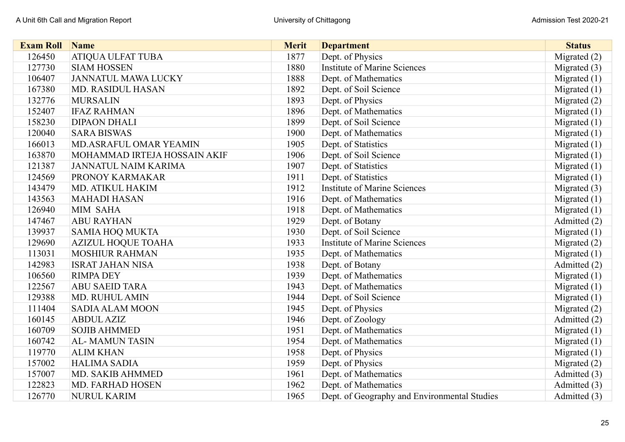| <b>Exam Roll</b> | <b>Name</b>                   | <b>Merit</b> | <b>Department</b>                            | <b>Status</b>  |
|------------------|-------------------------------|--------------|----------------------------------------------|----------------|
| 126450           | ATIQUA ULFAT TUBA             | 1877         | Dept. of Physics                             | Migrated (2)   |
| 127730           | <b>SIAM HOSSEN</b>            | 1880         | <b>Institute of Marine Sciences</b>          | Migrated $(3)$ |
| 106407           | <b>JANNATUL MAWA LUCKY</b>    | 1888         | Dept. of Mathematics                         | Migrated $(1)$ |
| 167380           | <b>MD. RASIDUL HASAN</b>      | 1892         | Dept. of Soil Science                        | Migrated (1)   |
| 132776           | <b>MURSALIN</b>               | 1893         | Dept. of Physics                             | Migrated $(2)$ |
| 152407           | <b>IFAZ RAHMAN</b>            | 1896         | Dept. of Mathematics                         | Migrated $(1)$ |
| 158230           | <b>DIPAON DHALI</b>           | 1899         | Dept. of Soil Science                        | Migrated $(1)$ |
| 120040           | <b>SARA BISWAS</b>            | 1900         | Dept. of Mathematics                         | Migrated $(1)$ |
| 166013           | <b>MD.ASRAFUL OMAR YEAMIN</b> | 1905         | Dept. of Statistics                          | Migrated $(1)$ |
| 163870           | MOHAMMAD IRTEJA HOSSAIN AKIF  | 1906         | Dept. of Soil Science                        | Migrated $(1)$ |
| 121387           | <b>JANNATUL NAIM KARIMA</b>   | 1907         | Dept. of Statistics                          | Migrated $(1)$ |
| 124569           | PRONOY KARMAKAR               | 1911         | Dept. of Statistics                          | Migrated $(1)$ |
| 143479           | MD. ATIKUL HAKIM              | 1912         | <b>Institute of Marine Sciences</b>          | Migrated (3)   |
| 143563           | <b>MAHADI HASAN</b>           | 1916         | Dept. of Mathematics                         | Migrated $(1)$ |
| 126940           | MIM SAHA                      | 1918         | Dept. of Mathematics                         | Migrated $(1)$ |
| 147467           | <b>ABU RAYHAN</b>             | 1929         | Dept. of Botany                              | Admitted (2)   |
| 139937           | <b>SAMIA HOQ MUKTA</b>        | 1930         | Dept. of Soil Science                        | Migrated $(1)$ |
| 129690           | <b>AZIZUL HOQUE TOAHA</b>     | 1933         | <b>Institute of Marine Sciences</b>          | Migrated (2)   |
| 113031           | <b>MOSHIUR RAHMAN</b>         | 1935         | Dept. of Mathematics                         | Migrated (1)   |
| 142983           | <b>ISRAT JAHAN NISA</b>       | 1938         | Dept. of Botany                              | Admitted (2)   |
| 106560           | <b>RIMPA DEY</b>              | 1939         | Dept. of Mathematics                         | Migrated $(1)$ |
| 122567           | <b>ABU SAEID TARA</b>         | 1943         | Dept. of Mathematics                         | Migrated $(1)$ |
| 129388           | <b>MD. RUHUL AMIN</b>         | 1944         | Dept. of Soil Science                        | Migrated $(1)$ |
| 111404           | <b>SADIA ALAM MOON</b>        | 1945         | Dept. of Physics                             | Migrated (2)   |
| 160145           | <b>ABDUL AZIZ</b>             | 1946         | Dept. of Zoology                             | Admitted (2)   |
| 160709           | <b>SOJIB AHMMED</b>           | 1951         | Dept. of Mathematics                         | Migrated $(1)$ |
| 160742           | <b>AL-MAMUN TASIN</b>         | 1954         | Dept. of Mathematics                         | Migrated (1)   |
| 119770           | <b>ALIM KHAN</b>              | 1958         | Dept. of Physics                             | Migrated $(1)$ |
| 157002           | <b>HALIMA SADIA</b>           | 1959         | Dept. of Physics                             | Migrated $(2)$ |
| 157007           | MD. SAKIB AHMMED              | 1961         | Dept. of Mathematics                         | Admitted (3)   |
| 122823           | <b>MD. FARHAD HOSEN</b>       | 1962         | Dept. of Mathematics                         | Admitted (3)   |
| 126770           | <b>NURUL KARIM</b>            | 1965         | Dept. of Geography and Environmental Studies | Admitted (3)   |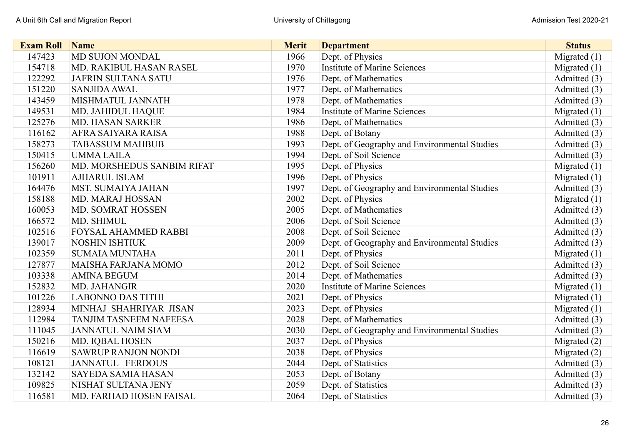| <b>Exam Roll</b> | Name                          | <b>Merit</b> | <b>Department</b>                            | <b>Status</b>  |
|------------------|-------------------------------|--------------|----------------------------------------------|----------------|
| 147423           | MD SUJON MONDAL               | 1966         | Dept. of Physics                             | Migrated $(1)$ |
| 154718           | MD. RAKIBUL HASAN RASEL       | 1970         | <b>Institute of Marine Sciences</b>          | Migrated $(1)$ |
| 122292           | <b>JAFRIN SULTANA SATU</b>    | 1976         | Dept. of Mathematics                         | Admitted (3)   |
| 151220           | <b>SANJIDA AWAL</b>           | 1977         | Dept. of Mathematics                         | Admitted (3)   |
| 143459           | MISHMATUL JANNATH             | 1978         | Dept. of Mathematics                         | Admitted (3)   |
| 149531           | <b>MD. JAHIDUL HAQUE</b>      | 1984         | <b>Institute of Marine Sciences</b>          | Migrated $(1)$ |
| 125276           | <b>MD. HASAN SARKER</b>       | 1986         | Dept. of Mathematics                         | Admitted (3)   |
| 116162           | AFRA SAIYARA RAISA            | 1988         | Dept. of Botany                              | Admitted (3)   |
| 158273           | <b>TABASSUM MAHBUB</b>        | 1993         | Dept. of Geography and Environmental Studies | Admitted (3)   |
| 150415           | <b>UMMALAILA</b>              | 1994         | Dept. of Soil Science                        | Admitted (3)   |
| 156260           | MD. MORSHEDUS SANBIM RIFAT    | 1995         | Dept. of Physics                             | Migrated $(1)$ |
| 101911           | <b>AJHARUL ISLAM</b>          | 1996         | Dept. of Physics                             | Migrated $(1)$ |
| 164476           | <b>MST. SUMAIYA JAHAN</b>     | 1997         | Dept. of Geography and Environmental Studies | Admitted (3)   |
| 158188           | MD. MARAJ HOSSAN              | 2002         | Dept. of Physics                             | Migrated $(1)$ |
| 160053           | MD. SOMRAT HOSSEN             | 2005         | Dept. of Mathematics                         | Admitted (3)   |
| 166572           | MD. SHIMUL                    | 2006         | Dept. of Soil Science                        | Admitted (3)   |
| 102516           | <b>FOYSAL AHAMMED RABBI</b>   | 2008         | Dept. of Soil Science                        | Admitted (3)   |
| 139017           | <b>NOSHIN ISHTIUK</b>         | 2009         | Dept. of Geography and Environmental Studies | Admitted (3)   |
| 102359           | <b>SUMAIA MUNTAHA</b>         | 2011         | Dept. of Physics                             | Migrated $(1)$ |
| 127877           | <b>MAISHA FARJANA MOMO</b>    | 2012         | Dept. of Soil Science                        | Admitted (3)   |
| 103338           | <b>AMINA BEGUM</b>            | 2014         | Dept. of Mathematics                         | Admitted (3)   |
| 152832           | MD. JAHANGIR                  | 2020         | <b>Institute of Marine Sciences</b>          | Migrated $(1)$ |
| 101226           | <b>LABONNO DAS TITHI</b>      | 2021         | Dept. of Physics                             | Migrated $(1)$ |
| 128934           | MINHAJ SHAHRIYAR JISAN        | 2023         | Dept. of Physics                             | Migrated $(1)$ |
| 112984           | <b>TANJIM TASNEEM NAFEESA</b> | 2028         | Dept. of Mathematics                         | Admitted (3)   |
| 111045           | <b>JANNATUL NAIM SIAM</b>     | 2030         | Dept. of Geography and Environmental Studies | Admitted (3)   |
| 150216           | MD. IQBAL HOSEN               | 2037         | Dept. of Physics                             | Migrated $(2)$ |
| 116619           | <b>SAWRUP RANJON NONDI</b>    | 2038         | Dept. of Physics                             | Migrated (2)   |
| 108121           | <b>JANNATUL FERDOUS</b>       | 2044         | Dept. of Statistics                          | Admitted (3)   |
| 132142           | <b>SAYEDA SAMIA HASAN</b>     | 2053         | Dept. of Botany                              | Admitted (3)   |
| 109825           | NISHAT SULTANA JENY           | 2059         | Dept. of Statistics                          | Admitted (3)   |
| 116581           | MD. FARHAD HOSEN FAISAL       | 2064         | Dept. of Statistics                          | Admitted (3)   |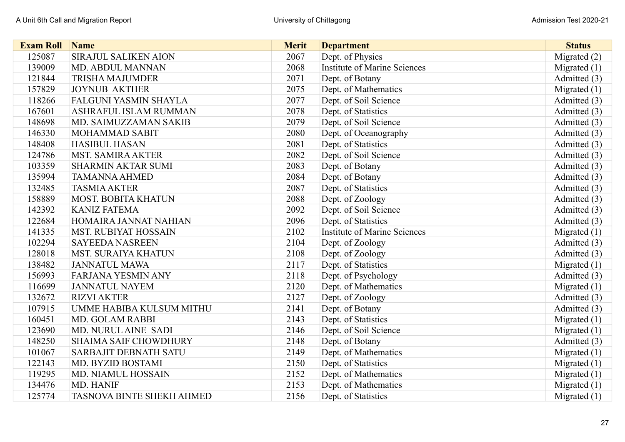| <b>Exam Roll</b> | Name                         | <b>Merit</b> | <b>Department</b>                   | <b>Status</b>  |
|------------------|------------------------------|--------------|-------------------------------------|----------------|
| 125087           | SIRAJUL SALIKEN AION         | 2067         | Dept. of Physics                    | Migrated (2)   |
| 139009           | MD. ABDUL MANNAN             | 2068         | <b>Institute of Marine Sciences</b> | Migrated $(1)$ |
| 121844           | <b>TRISHA MAJUMDER</b>       | 2071         | Dept. of Botany                     | Admitted (3)   |
| 157829           | <b>JOYNUB AKTHER</b>         | 2075         | Dept. of Mathematics                | Migrated $(1)$ |
| 118266           | <b>FALGUNI YASMIN SHAYLA</b> | 2077         | Dept. of Soil Science               | Admitted (3)   |
| 167601           | ASHRAFUL ISLAM RUMMAN        | 2078         | Dept. of Statistics                 | Admitted (3)   |
| 148698           | MD. SAIMUZZAMAN SAKIB        | 2079         | Dept. of Soil Science               | Admitted (3)   |
| 146330           | <b>MOHAMMAD SABIT</b>        | 2080         | Dept. of Oceanography               | Admitted (3)   |
| 148408           | <b>HASIBUL HASAN</b>         | 2081         | Dept. of Statistics                 | Admitted (3)   |
| 124786           | <b>MST. SAMIRA AKTER</b>     | 2082         | Dept. of Soil Science               | Admitted (3)   |
| 103359           | <b>SHARMIN AKTAR SUMI</b>    | 2083         | Dept. of Botany                     | Admitted (3)   |
| 135994           | <b>TAMANNA AHMED</b>         | 2084         | Dept. of Botany                     | Admitted (3)   |
| 132485           | <b>TASMIA AKTER</b>          | 2087         | Dept. of Statistics                 | Admitted (3)   |
| 158889           | <b>MOST. BOBITA KHATUN</b>   | 2088         | Dept. of Zoology                    | Admitted (3)   |
| 142392           | <b>KANIZ FATEMA</b>          | 2092         | Dept. of Soil Science               | Admitted (3)   |
| 122684           | HOMAIRA JANNAT NAHIAN        | 2096         | Dept. of Statistics                 | Admitted (3)   |
| 141335           | <b>MST. RUBIYAT HOSSAIN</b>  | 2102         | <b>Institute of Marine Sciences</b> | Migrated $(1)$ |
| 102294           | <b>SAYEEDA NASREEN</b>       | 2104         | Dept. of Zoology                    | Admitted (3)   |
| 128018           | <b>MST. SURAIYA KHATUN</b>   | 2108         | Dept. of Zoology                    | Admitted (3)   |
| 138482           | <b>JANNATUL MAWA</b>         | 2117         | Dept. of Statistics                 | Migrated $(1)$ |
| 156993           | <b>FARJANA YESMIN ANY</b>    | 2118         | Dept. of Psychology                 | Admitted (3)   |
| 116699           | <b>JANNATUL NAYEM</b>        | 2120         | Dept. of Mathematics                | Migrated $(1)$ |
| 132672           | <b>RIZVI AKTER</b>           | 2127         | Dept. of Zoology                    | Admitted (3)   |
| 107915           | UMME HABIBA KULSUM MITHU     | 2141         | Dept. of Botany                     | Admitted (3)   |
| 160451           | <b>MD. GOLAM RABBI</b>       | 2143         | Dept. of Statistics                 | Migrated $(1)$ |
| 123690           | <b>MD. NURUL AINE SADI</b>   | 2146         | Dept. of Soil Science               | Migrated $(1)$ |
| 148250           | <b>SHAIMA SAIF CHOWDHURY</b> | 2148         | Dept. of Botany                     | Admitted (3)   |
| 101067           | <b>SARBAJIT DEBNATH SATU</b> | 2149         | Dept. of Mathematics                | Migrated (1)   |
| 122143           | MD. BYZID BOSTAMI            | 2150         | Dept. of Statistics                 | Migrated $(1)$ |
| 119295           | <b>MD. NIAMUL HOSSAIN</b>    | 2152         | Dept. of Mathematics                | Migrated $(1)$ |
| 134476           | MD. HANIF                    | 2153         | Dept. of Mathematics                | Migrated (1)   |
| 125774           | TASNOVA BINTE SHEKH AHMED    | 2156         | Dept. of Statistics                 | Migrated $(1)$ |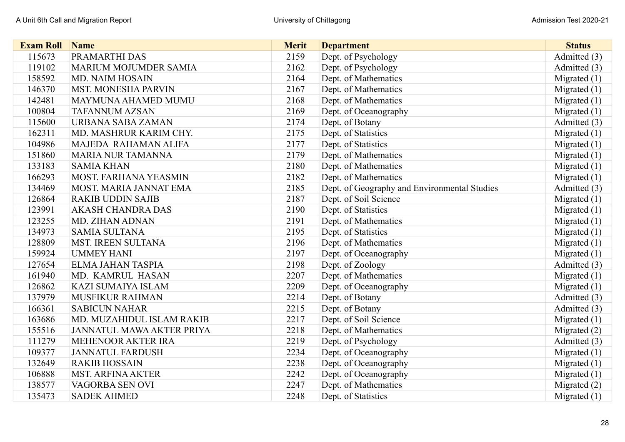| <b>Exam Roll</b> | <b>Name</b>                   | <b>Merit</b> | <b>Department</b>                            | <b>Status</b>  |
|------------------|-------------------------------|--------------|----------------------------------------------|----------------|
| 115673           | PRAMARTHI DAS                 | 2159         | Dept. of Psychology                          | Admitted (3)   |
| 119102           | <b>MARIUM MOJUMDER SAMIA</b>  | 2162         | Dept. of Psychology                          | Admitted (3)   |
| 158592           | <b>MD. NAIM HOSAIN</b>        | 2164         | Dept. of Mathematics                         | Migrated $(1)$ |
| 146370           | <b>MST. MONESHA PARVIN</b>    | 2167         | Dept. of Mathematics                         | Migrated $(1)$ |
| 142481           | <b>MAYMUNA AHAMED MUMU</b>    | 2168         | Dept. of Mathematics                         | Migrated $(1)$ |
| 100804           | <b>TAFANNUM AZSAN</b>         | 2169         | Dept. of Oceanography                        | Migrated $(1)$ |
| 115600           | URBANA SABA ZAMAN             | 2174         | Dept. of Botany                              | Admitted (3)   |
| 162311           | MD. MASHRUR KARIM CHY.        | 2175         | Dept. of Statistics                          | Migrated $(1)$ |
| 104986           | MAJEDA RAHAMAN ALIFA          | 2177         | Dept. of Statistics                          | Migrated $(1)$ |
| 151860           | <b>MARIA NUR TAMANNA</b>      | 2179         | Dept. of Mathematics                         | Migrated $(1)$ |
| 133183           | <b>SAMIA KHAN</b>             | 2180         | Dept. of Mathematics                         | Migrated $(1)$ |
| 166293           | <b>MOST. FARHANA YEASMIN</b>  | 2182         | Dept. of Mathematics                         | Migrated $(1)$ |
| 134469           | <b>MOST. MARIA JANNAT EMA</b> | 2185         | Dept. of Geography and Environmental Studies | Admitted (3)   |
| 126864           | <b>RAKIB UDDIN SAJIB</b>      | 2187         | Dept. of Soil Science                        | Migrated $(1)$ |
| 123991           | <b>AKASH CHANDRA DAS</b>      | 2190         | Dept. of Statistics                          | Migrated $(1)$ |
| 123255           | MD. ZIHAN ADNAN               | 2191         | Dept. of Mathematics                         | Migrated $(1)$ |
| 134973           | <b>SAMIA SULTANA</b>          | 2195         | Dept. of Statistics                          | Migrated $(1)$ |
| 128809           | <b>MST. IREEN SULTANA</b>     | 2196         | Dept. of Mathematics                         | Migrated $(1)$ |
| 159924           | <b>UMMEY HANI</b>             | 2197         | Dept. of Oceanography                        | Migrated $(1)$ |
| 127654           | <b>ELMA JAHAN TASPIA</b>      | 2198         | Dept. of Zoology                             | Admitted (3)   |
| 161940           | MD. KAMRUL HASAN              | 2207         | Dept. of Mathematics                         | Migrated $(1)$ |
| 126862           | <b>KAZI SUMAIYA ISLAM</b>     | 2209         | Dept. of Oceanography                        | Migrated $(1)$ |
| 137979           | MUSFIKUR RAHMAN               | 2214         | Dept. of Botany                              | Admitted (3)   |
| 166361           | <b>SABICUN NAHAR</b>          | 2215         | Dept. of Botany                              | Admitted (3)   |
| 163686           | MD. MUZAHIDUL ISLAM RAKIB     | 2217         | Dept. of Soil Science                        | Migrated $(1)$ |
| 155516           | JANNATUL MAWA AKTER PRIYA     | 2218         | Dept. of Mathematics                         | Migrated $(2)$ |
| 111279           | MEHENOOR AKTER IRA            | 2219         | Dept. of Psychology                          | Admitted (3)   |
| 109377           | <b>JANNATUL FARDUSH</b>       | 2234         | Dept. of Oceanography                        | Migrated $(1)$ |
| 132649           | <b>RAKIB HOSSAIN</b>          | 2238         | Dept. of Oceanography                        | Migrated $(1)$ |
| 106888           | <b>MST. ARFINA AKTER</b>      | 2242         | Dept. of Oceanography                        | Migrated $(1)$ |
| 138577           | VAGORBA SEN OVI               | 2247         | Dept. of Mathematics                         | Migrated (2)   |
| 135473           | <b>SADEK AHMED</b>            | 2248         | Dept. of Statistics                          | Migrated $(1)$ |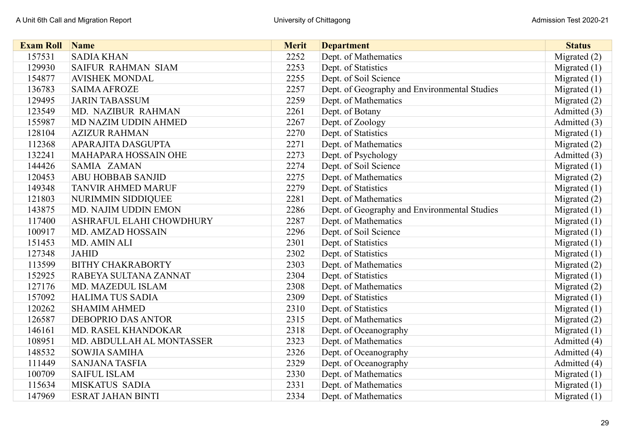| <b>Exam Roll</b> | <b>Name</b>                 | <b>Merit</b> | <b>Department</b>                            | <b>Status</b>  |
|------------------|-----------------------------|--------------|----------------------------------------------|----------------|
| 157531           | <b>SADIA KHAN</b>           | 2252         | Dept. of Mathematics                         | Migrated (2)   |
| 129930           | <b>SAIFUR RAHMAN SIAM</b>   | 2253         | Dept. of Statistics                          | Migrated $(1)$ |
| 154877           | <b>AVISHEK MONDAL</b>       | 2255         | Dept. of Soil Science                        | Migrated $(1)$ |
| 136783           | <b>SAIMA AFROZE</b>         | 2257         | Dept. of Geography and Environmental Studies | Migrated $(1)$ |
| 129495           | <b>JARIN TABASSUM</b>       | 2259         | Dept. of Mathematics                         | Migrated (2)   |
| 123549           | MD. NAZIBUR RAHMAN          | 2261         | Dept. of Botany                              | Admitted (3)   |
| 155987           | MD NAZIM UDDIN AHMED        | 2267         | Dept. of Zoology                             | Admitted (3)   |
| 128104           | <b>AZIZUR RAHMAN</b>        | 2270         | Dept. of Statistics                          | Migrated $(1)$ |
| 112368           | APARAJITA DASGUPTA          | 2271         | Dept. of Mathematics                         | Migrated (2)   |
| 132241           | <b>MAHAPARA HOSSAIN OHE</b> | 2273         | Dept. of Psychology                          | Admitted (3)   |
| 144426           | SAMIA ZAMAN                 | 2274         | Dept. of Soil Science                        | Migrated $(1)$ |
| 120453           | <b>ABU HOBBAB SANJID</b>    | 2275         | Dept. of Mathematics                         | Migrated (2)   |
| 149348           | <b>TANVIR AHMED MARUF</b>   | 2279         | Dept. of Statistics                          | Migrated $(1)$ |
| 121803           | NURIMMIN SIDDIQUEE          | 2281         | Dept. of Mathematics                         | Migrated $(2)$ |
| 143875           | MD. NAJIM UDDIN EMON        | 2286         | Dept. of Geography and Environmental Studies | Migrated $(1)$ |
| 117400           | ASHRAFUL ELAHI CHOWDHURY    | 2287         | Dept. of Mathematics                         | Migrated $(1)$ |
| 100917           | <b>MD. AMZAD HOSSAIN</b>    | 2296         | Dept. of Soil Science                        | Migrated $(1)$ |
| 151453           | MD. AMIN ALI                | 2301         | Dept. of Statistics                          | Migrated $(1)$ |
| 127348           | <b>JAHID</b>                | 2302         | Dept. of Statistics                          | Migrated $(1)$ |
| 113599           | <b>BITHY CHAKRABORTY</b>    | 2303         | Dept. of Mathematics                         | Migrated (2)   |
| 152925           | RABEYA SULTANA ZANNAT       | 2304         | Dept. of Statistics                          | Migrated $(1)$ |
| 127176           | MD. MAZEDUL ISLAM           | 2308         | Dept. of Mathematics                         | Migrated $(2)$ |
| 157092           | <b>HALIMA TUS SADIA</b>     | 2309         | Dept. of Statistics                          | Migrated $(1)$ |
| 120262           | <b>SHAMIM AHMED</b>         | 2310         | Dept. of Statistics                          | Migrated $(1)$ |
| 126587           | <b>DEBOPRIO DAS ANTOR</b>   | 2315         | Dept. of Mathematics                         | Migrated (2)   |
| 146161           | MD. RASEL KHANDOKAR         | 2318         | Dept. of Oceanography                        | Migrated $(1)$ |
| 108951           | MD. ABDULLAH AL MONTASSER   | 2323         | Dept. of Mathematics                         | Admitted (4)   |
| 148532           | <b>SOWJIA SAMIHA</b>        | 2326         | Dept. of Oceanography                        | Admitted (4)   |
| 111449           | <b>SANJANA TASFIA</b>       | 2329         | Dept. of Oceanography                        | Admitted (4)   |
| 100709           | <b>SAIFUL ISLAM</b>         | 2330         | Dept. of Mathematics                         | Migrated $(1)$ |
| 115634           | <b>MISKATUS SADIA</b>       | 2331         | Dept. of Mathematics                         | Migrated $(1)$ |
| 147969           | <b>ESRAT JAHAN BINTI</b>    | 2334         | Dept. of Mathematics                         | Migrated $(1)$ |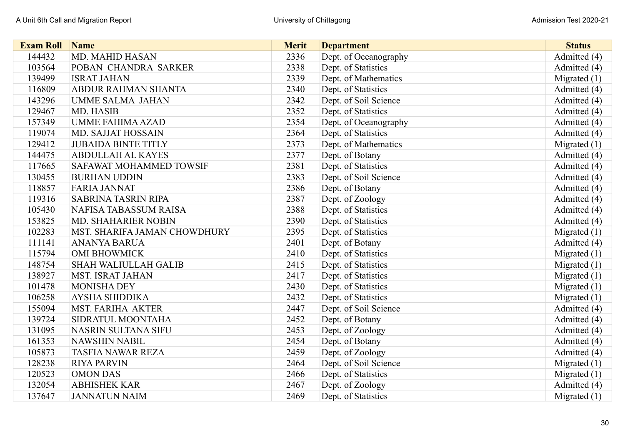| <b>Exam Roll</b> | <b>Name</b>                  | <b>Merit</b> | <b>Department</b>     | <b>Status</b>  |
|------------------|------------------------------|--------------|-----------------------|----------------|
| 144432           | <b>MD. MAHID HASAN</b>       | 2336         | Dept. of Oceanography | Admitted (4)   |
| 103564           | POBAN CHANDRA SARKER         | 2338         | Dept. of Statistics   | Admitted (4)   |
| 139499           | <b>ISRAT JAHAN</b>           | 2339         | Dept. of Mathematics  | Migrated $(1)$ |
| 116809           | <b>ABDUR RAHMAN SHANTA</b>   | 2340         | Dept. of Statistics   | Admitted (4)   |
| 143296           | <b>UMME SALMA JAHAN</b>      | 2342         | Dept. of Soil Science | Admitted (4)   |
| 129467           | MD. HASIB                    | 2352         | Dept. of Statistics   | Admitted (4)   |
| 157349           | <b>UMME FAHIMA AZAD</b>      | 2354         | Dept. of Oceanography | Admitted (4)   |
| 119074           | <b>MD. SAJJAT HOSSAIN</b>    | 2364         | Dept. of Statistics   | Admitted (4)   |
| 129412           | <b>JUBAIDA BINTE TITLY</b>   | 2373         | Dept. of Mathematics  | Migrated $(1)$ |
| 144475           | <b>ABDULLAH AL KAYES</b>     | 2377         | Dept. of Botany       | Admitted (4)   |
| 117665           | SAFAWAT MOHAMMED TOWSIF      | 2381         | Dept. of Statistics   | Admitted (4)   |
| 130455           | <b>BURHAN UDDIN</b>          | 2383         | Dept. of Soil Science | Admitted (4)   |
| 118857           | <b>FARIA JANNAT</b>          | 2386         | Dept. of Botany       | Admitted (4)   |
| 119316           | <b>SABRINA TASRIN RIPA</b>   | 2387         | Dept. of Zoology      | Admitted (4)   |
| 105430           | NAFISA TABASSUM RAISA        | 2388         | Dept. of Statistics   | Admitted (4)   |
| 153825           | MD. SHAHARIER NOBIN          | 2390         | Dept. of Statistics   | Admitted (4)   |
| 102283           | MST. SHARIFA JAMAN CHOWDHURY | 2395         | Dept. of Statistics   | Migrated $(1)$ |
| 111141           | <b>ANANYA BARUA</b>          | 2401         | Dept. of Botany       | Admitted (4)   |
| 115794           | <b>OMI BHOWMICK</b>          | 2410         | Dept. of Statistics   | Migrated $(1)$ |
| 148754           | <b>SHAH WALIULLAH GALIB</b>  | 2415         | Dept. of Statistics   | Migrated $(1)$ |
| 138927           | <b>MST. ISRAT JAHAN</b>      | 2417         | Dept. of Statistics   | Migrated $(1)$ |
| 101478           | <b>MONISHA DEY</b>           | 2430         | Dept. of Statistics   | Migrated $(1)$ |
| 106258           | <b>AYSHA SHIDDIKA</b>        | 2432         | Dept. of Statistics   | Migrated $(1)$ |
| 155094           | <b>MST. FARIHA AKTER</b>     | 2447         | Dept. of Soil Science | Admitted (4)   |
| 139724           | SIDRATUL MOONTAHA            | 2452         | Dept. of Botany       | Admitted (4)   |
| 131095           | <b>NASRIN SULTANA SIFU</b>   | 2453         | Dept. of Zoology      | Admitted (4)   |
| 161353           | <b>NAWSHIN NABIL</b>         | 2454         | Dept. of Botany       | Admitted (4)   |
| 105873           | <b>TASFIA NAWAR REZA</b>     | 2459         | Dept. of Zoology      | Admitted (4)   |
| 128238           | <b>RIYA PARVIN</b>           | 2464         | Dept. of Soil Science | Migrated $(1)$ |
| 120523           | <b>OMON DAS</b>              | 2466         | Dept. of Statistics   | Migrated $(1)$ |
| 132054           | <b>ABHISHEK KAR</b>          | 2467         | Dept. of Zoology      | Admitted (4)   |
| 137647           | <b>JANNATUN NAIM</b>         | 2469         | Dept. of Statistics   | Migrated $(1)$ |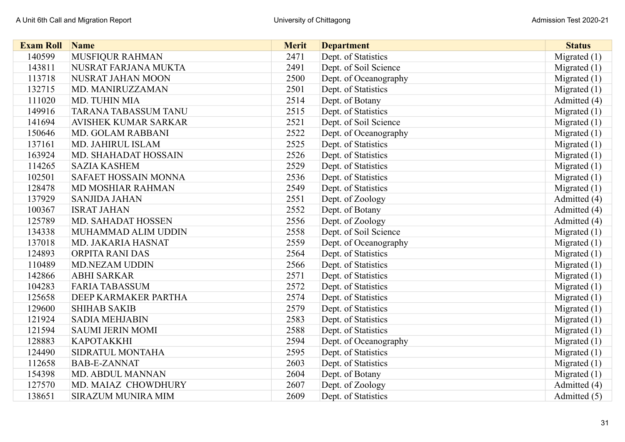| <b>Exam Roll</b> | <b>Name</b>                 | <b>Merit</b> | <b>Department</b>     | <b>Status</b>  |
|------------------|-----------------------------|--------------|-----------------------|----------------|
| 140599           | MUSFIQUR RAHMAN             | 2471         | Dept. of Statistics   | Migrated $(1)$ |
| 143811           | NUSRAT FARJANA MUKTA        | 2491         | Dept. of Soil Science | Migrated $(1)$ |
| 113718           | NUSRAT JAHAN MOON           | 2500         | Dept. of Oceanography | Migrated $(1)$ |
| 132715           | MD. MANIRUZZAMAN            | 2501         | Dept. of Statistics   | Migrated $(1)$ |
| 111020           | MD. TUHIN MIA               | 2514         | Dept. of Botany       | Admitted (4)   |
| 149916           | TARANA TABASSUM TANU        | 2515         | Dept. of Statistics   | Migrated $(1)$ |
| 141694           | <b>AVISHEK KUMAR SARKAR</b> | 2521         | Dept. of Soil Science | Migrated $(1)$ |
| 150646           | <b>MD. GOLAM RABBANI</b>    | 2522         | Dept. of Oceanography | Migrated (1)   |
| 137161           | MD. JAHIRUL ISLAM           | 2525         | Dept. of Statistics   | Migrated $(1)$ |
| 163924           | <b>MD. SHAHADAT HOSSAIN</b> | 2526         | Dept. of Statistics   | Migrated $(1)$ |
| 114265           | <b>SAZIA KASHEM</b>         | 2529         | Dept. of Statistics   | Migrated $(1)$ |
| 102501           | SAFAET HOSSAIN MONNA        | 2536         | Dept. of Statistics   | Migrated (1)   |
| 128478           | MD MOSHIAR RAHMAN           | 2549         | Dept. of Statistics   | Migrated $(1)$ |
| 137929           | <b>SANJIDA JAHAN</b>        | 2551         | Dept. of Zoology      | Admitted (4)   |
| 100367           | <b>ISRAT JAHAN</b>          | 2552         | Dept. of Botany       | Admitted (4)   |
| 125789           | MD. SAHADAT HOSSEN          | 2556         | Dept. of Zoology      | Admitted (4)   |
| 134338           | MUHAMMAD ALIM UDDIN         | 2558         | Dept. of Soil Science | Migrated $(1)$ |
| 137018           | MD. JAKARIA HASNAT          | 2559         | Dept. of Oceanography | Migrated (1)   |
| 124893           | ORPITA RANI DAS             | 2564         | Dept. of Statistics   | Migrated $(1)$ |
| 110489           | <b>MD.NEZAM UDDIN</b>       | 2566         | Dept. of Statistics   | Migrated $(1)$ |
| 142866           | <b>ABHI SARKAR</b>          | 2571         | Dept. of Statistics   | Migrated (1)   |
| 104283           | <b>FARIA TABASSUM</b>       | 2572         | Dept. of Statistics   | Migrated $(1)$ |
| 125658           | DEEP KARMAKER PARTHA        | 2574         | Dept. of Statistics   | Migrated $(1)$ |
| 129600           | <b>SHIHAB SAKIB</b>         | 2579         | Dept. of Statistics   | Migrated $(1)$ |
| 121924           | <b>SADIA MEHJABIN</b>       | 2583         | Dept. of Statistics   | Migrated $(1)$ |
| 121594           | <b>SAUMI JERIN MOMI</b>     | 2588         | Dept. of Statistics   | Migrated $(1)$ |
| 128883           | <b>KAPOTAKKHI</b>           | 2594         | Dept. of Oceanography | Migrated $(1)$ |
| 124490           | SIDRATUL MONTAHA            | 2595         | Dept. of Statistics   | Migrated $(1)$ |
| 112658           | <b>BAB-E-ZANNAT</b>         | 2603         | Dept. of Statistics   | Migrated $(1)$ |
| 154398           | MD. ABDUL MANNAN            | 2604         | Dept. of Botany       | Migrated $(1)$ |
| 127570           | MD. MAIAZ CHOWDHURY         | 2607         | Dept. of Zoology      | Admitted (4)   |
| 138651           | <b>SIRAZUM MUNIRA MIM</b>   | 2609         | Dept. of Statistics   | Admitted (5)   |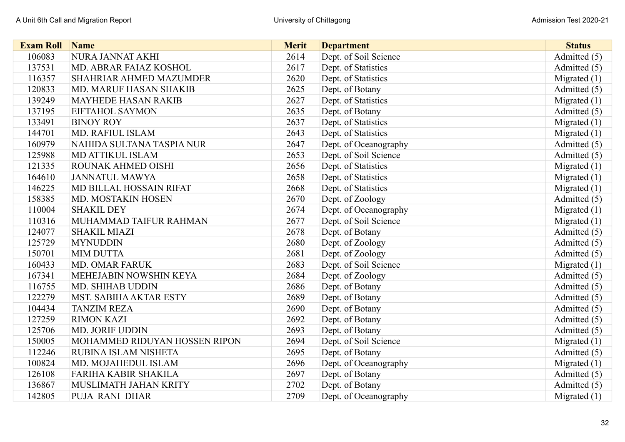| <b>Exam Roll</b> | <b>Name</b>                   | <b>Merit</b> | <b>Department</b>     | <b>Status</b>  |
|------------------|-------------------------------|--------------|-----------------------|----------------|
| 106083           | NURA JANNAT AKHI              | 2614         | Dept. of Soil Science | Admitted (5)   |
| 137531           | MD. ABRAR FAIAZ KOSHOL        | 2617         | Dept. of Statistics   | Admitted (5)   |
| 116357           | SHAHRIAR AHMED MAZUMDER       | 2620         | Dept. of Statistics   | Migrated $(1)$ |
| 120833           | <b>MD. MARUF HASAN SHAKIB</b> | 2625         | Dept. of Botany       | Admitted (5)   |
| 139249           | <b>MAYHEDE HASAN RAKIB</b>    | 2627         | Dept. of Statistics   | Migrated $(1)$ |
| 137195           | <b>EIFTAHOL SAYMON</b>        | 2635         | Dept. of Botany       | Admitted (5)   |
| 133491           | <b>BINOY ROY</b>              | 2637         | Dept. of Statistics   | Migrated $(1)$ |
| 144701           | <b>MD. RAFIUL ISLAM</b>       | 2643         | Dept. of Statistics   | Migrated (1)   |
| 160979           | NAHIDA SULTANA TASPIA NUR     | 2647         | Dept. of Oceanography | Admitted (5)   |
| 125988           | <b>MD ATTIKUL ISLAM</b>       | 2653         | Dept. of Soil Science | Admitted (5)   |
| 121335           | ROUNAK AHMED OISHI            | 2656         | Dept. of Statistics   | Migrated $(1)$ |
| 164610           | <b>JANNATUL MAWYA</b>         | 2658         | Dept. of Statistics   | Migrated (1)   |
| 146225           | MD BILLAL HOSSAIN RIFAT       | 2668         | Dept. of Statistics   | Migrated $(1)$ |
| 158385           | MD. MOSTAKIN HOSEN            | 2670         | Dept. of Zoology      | Admitted (5)   |
| 110004           | <b>SHAKIL DEY</b>             | 2674         | Dept. of Oceanography | Migrated (1)   |
| 110316           | MUHAMMAD TAIFUR RAHMAN        | 2677         | Dept. of Soil Science | Migrated (1)   |
| 124077           | <b>SHAKIL MIAZI</b>           | 2678         | Dept. of Botany       | Admitted (5)   |
| 125729           | <b>MYNUDDIN</b>               | 2680         | Dept. of Zoology      | Admitted (5)   |
| 150701           | <b>MIM DUTTA</b>              | 2681         | Dept. of Zoology      | Admitted (5)   |
| 160433           | <b>MD. OMAR FARUK</b>         | 2683         | Dept. of Soil Science | Migrated $(1)$ |
| 167341           | MEHEJABIN NOWSHIN KEYA        | 2684         | Dept. of Zoology      | Admitted (5)   |
| 116755           | <b>MD. SHIHAB UDDIN</b>       | 2686         | Dept. of Botany       | Admitted (5)   |
| 122279           | <b>MST. SABIHA AKTAR ESTY</b> | 2689         | Dept. of Botany       | Admitted (5)   |
| 104434           | <b>TANZIM REZA</b>            | 2690         | Dept. of Botany       | Admitted (5)   |
| 127259           | <b>RIMON KAZI</b>             | 2692         | Dept. of Botany       | Admitted (5)   |
| 125706           | <b>MD. JORIF UDDIN</b>        | 2693         | Dept. of Botany       | Admitted (5)   |
| 150005           | MOHAMMED RIDUYAN HOSSEN RIPON | 2694         | Dept. of Soil Science | Migrated $(1)$ |
| 112246           | RUBINA ISLAM NISHETA          | 2695         | Dept. of Botany       | Admitted (5)   |
| 100824           | MD. MOJAHEDUL ISLAM           | 2696         | Dept. of Oceanography | Migrated $(1)$ |
| 126108           | <b>FARIHA KABIR SHAKILA</b>   | 2697         | Dept. of Botany       | Admitted (5)   |
| 136867           | MUSLIMATH JAHAN KRITY         | 2702         | Dept. of Botany       | Admitted (5)   |
| 142805           | PUJA RANI DHAR                | 2709         | Dept. of Oceanography | Migrated $(1)$ |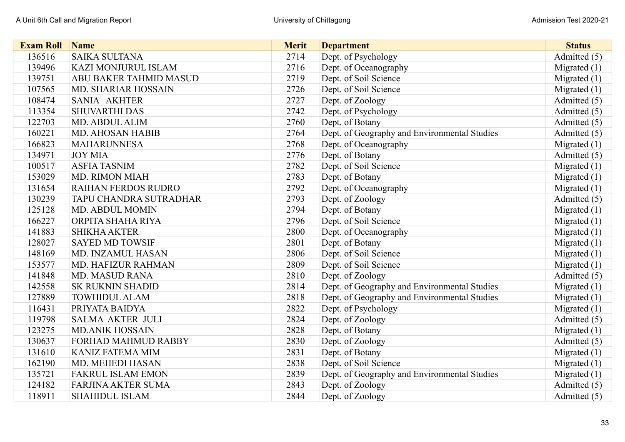| <b>Exam Roll</b> | <b>Name</b>                   | <b>Merit</b> | <b>Department</b>                            | <b>Status</b>  |
|------------------|-------------------------------|--------------|----------------------------------------------|----------------|
| 136516           | <b>SAIKA SULTANA</b>          | 2714         | Dept. of Psychology                          | Admitted (5)   |
| 139496           | <b>KAZI MONJURUL ISLAM</b>    | 2716         | Dept. of Oceanography                        | Migrated $(1)$ |
| 139751           | <b>ABU BAKER TAHMID MASUD</b> | 2719         | Dept. of Soil Science                        | Migrated $(1)$ |
| 107565           | MD. SHARIAR HOSSAIN           | 2726         | Dept. of Soil Science                        | Migrated $(1)$ |
| 108474           | <b>SANIA AKHTER</b>           | 2727         | Dept. of Zoology                             | Admitted (5)   |
| 113354           | <b>SHUVARTHI DAS</b>          | 2742         | Dept. of Psychology                          | Admitted (5)   |
| 122703           | MD. ABDUL ALIM                | 2760         | Dept. of Botany                              | Admitted (5)   |
| 160221           | <b>MD. AHOSAN HABIB</b>       | 2764         | Dept. of Geography and Environmental Studies | Admitted (5)   |
| 166823           | <b>MAHARUNNESA</b>            | 2768         | Dept. of Oceanography                        | Migrated (1)   |
| 134971           | <b>JOY MIA</b>                | 2776         | Dept. of Botany                              | Admitted (5)   |
| 100517           | <b>ASFIA TASNIM</b>           | 2782         | Dept. of Soil Science                        | Migrated $(1)$ |
| 153029           | <b>MD. RIMON MIAH</b>         | 2783         | Dept. of Botany                              | Migrated $(1)$ |
| 131654           | <b>RAIHAN FERDOS RUDRO</b>    | 2792         | Dept. of Oceanography                        | Migrated $(1)$ |
| 130239           | TAPU CHANDRA SUTRADHAR        | 2793         | Dept. of Zoology                             | Admitted (5)   |
| 125128           | <b>MD. ABDUL MOMIN</b>        | 2794         | Dept. of Botany                              | Migrated $(1)$ |
| 166227           | ORPITA SHAHA RIYA             | 2796         | Dept. of Soil Science                        | Migrated $(1)$ |
| 141883           | <b>SHIKHA AKTER</b>           | 2800         | Dept. of Oceanography                        | Migrated $(1)$ |
| 128027           | <b>SAYED MD TOWSIF</b>        | 2801         | Dept. of Botany                              | Migrated $(1)$ |
| 148169           | MD. INZAMUL HASAN             | 2806         | Dept. of Soil Science                        | Migrated $(1)$ |
| 153577           | MD. HAFIZUR RAHMAN            | 2809         | Dept. of Soil Science                        | Migrated $(1)$ |
| 141848           | <b>MD. MASUD RANA</b>         | 2810         | Dept. of Zoology                             | Admitted (5)   |
| 142558           | <b>SK RUKNIN SHADID</b>       | 2814         | Dept. of Geography and Environmental Studies | Migrated $(1)$ |
| 127889           | <b>TOWHIDUL ALAM</b>          | 2818         | Dept. of Geography and Environmental Studies | Migrated $(1)$ |
| 116431           | PRIYATA BAIDYA                | 2822         | Dept. of Psychology                          | Migrated $(1)$ |
| 119798           | <b>SALMA AKTER JULI</b>       | 2824         | Dept. of Zoology                             | Admitted (5)   |
| 123275           | <b>MD.ANIK HOSSAIN</b>        | 2828         | Dept. of Botany                              | Migrated $(1)$ |
| 130637           | <b>FORHAD MAHMUD RABBY</b>    | 2830         | Dept. of Zoology                             | Admitted (5)   |
| 131610           | <b>KANIZ FATEMA MIM</b>       | 2831         | Dept. of Botany                              | Migrated $(1)$ |
| 162190           | MD. MEHEDI HASAN              | 2838         | Dept. of Soil Science                        | Migrated $(1)$ |
| 135721           | <b>FAKRUL ISLAM EMON</b>      | 2839         | Dept. of Geography and Environmental Studies | Migrated $(1)$ |
| 124182           | FARJINA AKTER SUMA            | 2843         | Dept. of Zoology                             | Admitted (5)   |
| 118911           | <b>SHAHIDUL ISLAM</b>         | 2844         | Dept. of Zoology                             | Admitted (5)   |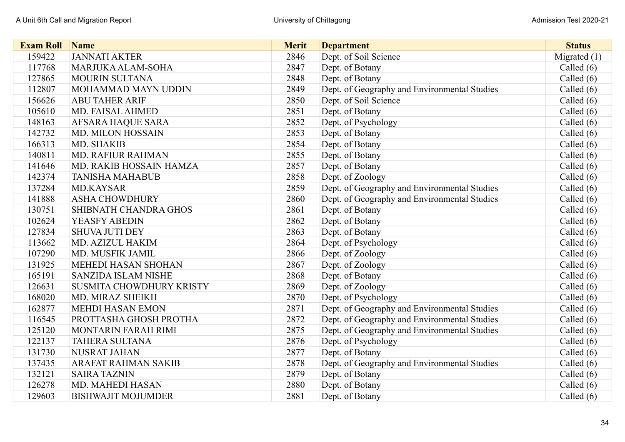| <b>Exam Roll</b> | Name                            | <b>Merit</b> | <b>Department</b>                            | <b>Status</b> |
|------------------|---------------------------------|--------------|----------------------------------------------|---------------|
| 159422           | <b>JANNATI AKTER</b>            | 2846         | Dept. of Soil Science                        | Migrated (1)  |
| 117768           | MARJUKA ALAM-SOHA               | 2847         | Dept. of Botany                              | Called $(6)$  |
| 127865           | <b>MOURIN SULTANA</b>           | 2848         | Dept. of Botany                              | Called (6)    |
| 112807           | MOHAMMAD MAYN UDDIN             | 2849         | Dept. of Geography and Environmental Studies | Called $(6)$  |
| 156626           | <b>ABU TAHER ARIF</b>           | 2850         | Dept. of Soil Science                        | Called $(6)$  |
| 105610           | MD. FAISAL AHMED                | 2851         | Dept. of Botany                              | Called $(6)$  |
| 148163           | <b>AFSARA HAQUE SARA</b>        | 2852         | Dept. of Psychology                          | Called $(6)$  |
| 142732           | <b>MD. MILON HOSSAIN</b>        | 2853         | Dept. of Botany                              | Called $(6)$  |
| 166313           | MD. SHAKIB                      | 2854         | Dept. of Botany                              | Called $(6)$  |
| 140811           | <b>MD. RAFIUR RAHMAN</b>        | 2855         | Dept. of Botany                              | Called $(6)$  |
| 141646           | MD. RAKIB HOSSAIN HAMZA         | 2857         | Dept. of Botany                              | Called $(6)$  |
| 142374           | <b>TANISHA MAHABUB</b>          | 2858         | Dept. of Zoology                             | Called $(6)$  |
| 137284           | <b>MD.KAYSAR</b>                | 2859         | Dept. of Geography and Environmental Studies | Called $(6)$  |
| 141888           | <b>ASHA CHOWDHURY</b>           | 2860         | Dept. of Geography and Environmental Studies | Called $(6)$  |
| 130751           | SHIBNATH CHANDRA GHOS           | 2861         | Dept. of Botany                              | Called $(6)$  |
| 102624           | <b>YEASFY ABEDIN</b>            | 2862         | Dept. of Botany                              | Called $(6)$  |
| 127834           | <b>SHUVA JUTI DEY</b>           | 2863         | Dept. of Botany                              | Called $(6)$  |
| 113662           | MD. AZIZUL HAKIM                | 2864         | Dept. of Psychology                          | Called $(6)$  |
| 107290           | MD. MUSFIK JAMIL                | 2866         | Dept. of Zoology                             | Called $(6)$  |
| 131925           | <b>MEHEDI HASAN SHOHAN</b>      | 2867         | Dept. of Zoology                             | Called $(6)$  |
| 165191           | <b>SANZIDA ISLAM NISHE</b>      | 2868         | Dept. of Botany                              | Called $(6)$  |
| 126631           | <b>SUSMITA CHOWDHURY KRISTY</b> | 2869         | Dept. of Zoology                             | Called $(6)$  |
| 168020           | MD. MIRAZ SHEIKH                | 2870         | Dept. of Psychology                          | Called $(6)$  |
| 162877           | <b>MEHDI HASAN EMON</b>         | 2871         | Dept. of Geography and Environmental Studies | Called $(6)$  |
| 116545           | PROTTASHA GHOSH PROTHA          | 2872         | Dept. of Geography and Environmental Studies | Called $(6)$  |
| 125120           | MONTARIN FARAH RIMI             | 2875         | Dept. of Geography and Environmental Studies | Called $(6)$  |
| 122137           | <b>TAHERA SULTANA</b>           | 2876         | Dept. of Psychology                          | Called $(6)$  |
| 131730           | <b>NUSRAT JAHAN</b>             | 2877         | Dept. of Botany                              | Called $(6)$  |
| 137435           | <b>ARAFAT RAHMAN SAKIB</b>      | 2878         | Dept. of Geography and Environmental Studies | Called $(6)$  |
| 132121           | <b>SAIRA TAZNIN</b>             | 2879         | Dept. of Botany                              | Called $(6)$  |
| 126278           | <b>MD. MAHEDI HASAN</b>         | 2880         | Dept. of Botany                              | Called $(6)$  |
| 129603           | <b>BISHWAJIT MOJUMDER</b>       | 2881         | Dept. of Botany                              | Called $(6)$  |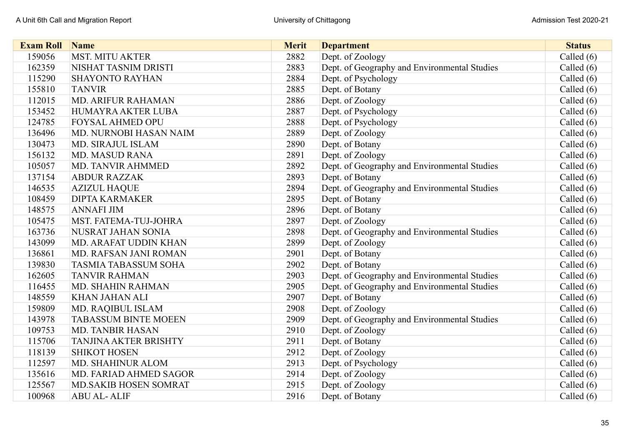| <b>Exam Roll</b> | Name                         | <b>Merit</b> | <b>Department</b>                            | <b>Status</b> |
|------------------|------------------------------|--------------|----------------------------------------------|---------------|
| 159056           | <b>MST. MITU AKTER</b>       | 2882         | Dept. of Zoology                             | Called (6)    |
| 162359           | NISHAT TASNIM DRISTI         | 2883         | Dept. of Geography and Environmental Studies | Called $(6)$  |
| 115290           | <b>SHAYONTO RAYHAN</b>       | 2884         | Dept. of Psychology                          | Called $(6)$  |
| 155810           | <b>TANVIR</b>                | 2885         | Dept. of Botany                              | Called $(6)$  |
| 112015           | <b>MD. ARIFUR RAHAMAN</b>    | 2886         | Dept. of Zoology                             | Called $(6)$  |
| 153452           | HUMAYRA AKTER LUBA           | 2887         | Dept. of Psychology                          | Called $(6)$  |
| 124785           | <b>FOYSAL AHMED OPU</b>      | 2888         | Dept. of Psychology                          | Called (6)    |
| 136496           | MD. NURNOBI HASAN NAIM       | 2889         | Dept. of Zoology                             | Called $(6)$  |
| 130473           | <b>MD. SIRAJUL ISLAM</b>     | 2890         | Dept. of Botany                              | Called $(6)$  |
| 156132           | <b>MD. MASUD RANA</b>        | 2891         | Dept. of Zoology                             | Called $(6)$  |
| 105057           | <b>MD. TANVIR AHMMED</b>     | 2892         | Dept. of Geography and Environmental Studies | Called $(6)$  |
| 137154           | <b>ABDUR RAZZAK</b>          | 2893         | Dept. of Botany                              | Called $(6)$  |
| 146535           | <b>AZIZUL HAQUE</b>          | 2894         | Dept. of Geography and Environmental Studies | Called $(6)$  |
| 108459           | <b>DIPTA KARMAKER</b>        | 2895         | Dept. of Botany                              | Called $(6)$  |
| 148575           | <b>ANNAFI JIM</b>            | 2896         | Dept. of Botany                              | Called $(6)$  |
| 105475           | <b>MST. FATEMA-TUJ-JOHRA</b> | 2897         | Dept. of Zoology                             | Called $(6)$  |
| 163736           | NUSRAT JAHAN SONIA           | 2898         | Dept. of Geography and Environmental Studies | Called $(6)$  |
| 143099           | <b>MD. ARAFAT UDDIN KHAN</b> | 2899         | Dept. of Zoology                             | Called $(6)$  |
| 136861           | MD. RAFSAN JANI ROMAN        | 2901         | Dept. of Botany                              | Called $(6)$  |
| 139830           | <b>TASMIA TABASSUM SOHA</b>  | 2902         | Dept. of Botany                              | Called $(6)$  |
| 162605           | <b>TANVIR RAHMAN</b>         | 2903         | Dept. of Geography and Environmental Studies | Called $(6)$  |
| 116455           | MD. SHAHIN RAHMAN            | 2905         | Dept. of Geography and Environmental Studies | Called $(6)$  |
| 148559           | <b>KHAN JAHAN ALI</b>        | 2907         | Dept. of Botany                              | Called $(6)$  |
| 159809           | MD. RAQIBUL ISLAM            | 2908         | Dept. of Zoology                             | Called $(6)$  |
| 143978           | <b>TABASSUM BINTE MOEEN</b>  | 2909         | Dept. of Geography and Environmental Studies | Called $(6)$  |
| 109753           | <b>MD. TANBIR HASAN</b>      | 2910         | Dept. of Zoology                             | Called $(6)$  |
| 115706           | <b>TANJINA AKTER BRISHTY</b> | 2911         | Dept. of Botany                              | Called $(6)$  |
| 118139           | <b>SHIKOT HOSEN</b>          | 2912         | Dept. of Zoology                             | Called $(6)$  |
| 112597           | MD. SHAHINUR ALOM            | 2913         | Dept. of Psychology                          | Called $(6)$  |
| 135616           | MD. FARIAD AHMED SAGOR       | 2914         | Dept. of Zoology                             | Called $(6)$  |
| 125567           | MD.SAKIB HOSEN SOMRAT        | 2915         | Dept. of Zoology                             | Called $(6)$  |
| 100968           | <b>ABU AL-ALIF</b>           | 2916         | Dept. of Botany                              | Called (6)    |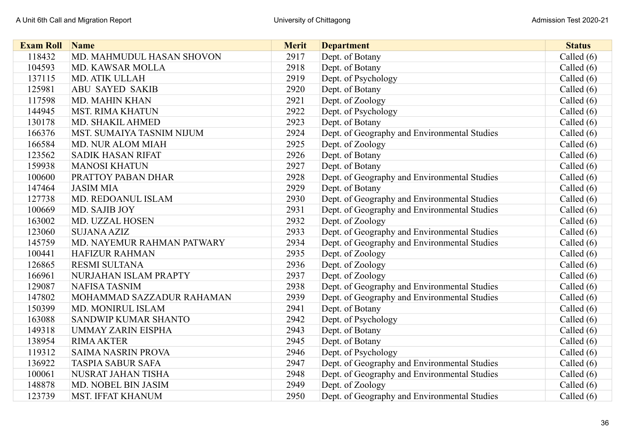| <b>Exam Roll</b> | Name                       | <b>Merit</b> | <b>Department</b>                            | <b>Status</b> |
|------------------|----------------------------|--------------|----------------------------------------------|---------------|
| 118432           | MD. MAHMUDUL HASAN SHOVON  | 2917         | Dept. of Botany                              | Called $(6)$  |
| 104593           | <b>MD. KAWSAR MOLLA</b>    | 2918         | Dept. of Botany                              | Called $(6)$  |
| 137115           | <b>MD. ATIK ULLAH</b>      | 2919         | Dept. of Psychology                          | Called $(6)$  |
| 125981           | <b>ABU SAYED SAKIB</b>     | 2920         | Dept. of Botany                              | Called $(6)$  |
| 117598           | <b>MD. MAHIN KHAN</b>      | 2921         | Dept. of Zoology                             | Called $(6)$  |
| 144945           | <b>MST. RIMA KHATUN</b>    | 2922         | Dept. of Psychology                          | Called $(6)$  |
| 130178           | <b>MD. SHAKIL AHMED</b>    | 2923         | Dept. of Botany                              | Called $(6)$  |
| 166376           | MST. SUMAIYA TASNIM NIJUM  | 2924         | Dept. of Geography and Environmental Studies | Called $(6)$  |
| 166584           | <b>MD. NUR ALOM MIAH</b>   | 2925         | Dept. of Zoology                             | Called $(6)$  |
| 123562           | <b>SADIK HASAN RIFAT</b>   | 2926         | Dept. of Botany                              | Called $(6)$  |
| 159938           | <b>MANOSI KHATUN</b>       | 2927         | Dept. of Botany                              | Called $(6)$  |
| 100600           | PRATTOY PABAN DHAR         | 2928         | Dept. of Geography and Environmental Studies | Called $(6)$  |
| 147464           | <b>JASIM MIA</b>           | 2929         | Dept. of Botany                              | Called $(6)$  |
| 127738           | MD. REDOANUL ISLAM         | 2930         | Dept. of Geography and Environmental Studies | Called $(6)$  |
| 100669           | MD. SAJIB JOY              | 2931         | Dept. of Geography and Environmental Studies | Called $(6)$  |
| 163002           | <b>MD. UZZAL HOSEN</b>     | 2932         | Dept. of Zoology                             | Called $(6)$  |
| 123060           | <b>SUJANA AZIZ</b>         | 2933         | Dept. of Geography and Environmental Studies | Called $(6)$  |
| 145759           | MD. NAYEMUR RAHMAN PATWARY | 2934         | Dept. of Geography and Environmental Studies | Called $(6)$  |
| 100441           | <b>HAFIZUR RAHMAN</b>      | 2935         | Dept. of Zoology                             | Called (6)    |
| 126865           | <b>RESMI SULTANA</b>       | 2936         | Dept. of Zoology                             | Called $(6)$  |
| 166961           | NURJAHAN ISLAM PRAPTY      | 2937         | Dept. of Zoology                             | Called $(6)$  |
| 129087           | <b>NAFISA TASNIM</b>       | 2938         | Dept. of Geography and Environmental Studies | Called $(6)$  |
| 147802           | MOHAMMAD SAZZADUR RAHAMAN  | 2939         | Dept. of Geography and Environmental Studies | Called $(6)$  |
| 150399           | <b>MD. MONIRUL ISLAM</b>   | 2941         | Dept. of Botany                              | Called $(6)$  |
| 163088           | SANDWIP KUMAR SHANTO       | 2942         | Dept. of Psychology                          | Called $(6)$  |
| 149318           | <b>UMMAY ZARIN EISPHA</b>  | 2943         | Dept. of Botany                              | Called $(6)$  |
| 138954           | <b>RIMA AKTER</b>          | 2945         | Dept. of Botany                              | Called $(6)$  |
| 119312           | <b>SAIMA NASRIN PROVA</b>  | 2946         | Dept. of Psychology                          | Called $(6)$  |
| 136922           | <b>TASPIA SABUR SAFA</b>   | 2947         | Dept. of Geography and Environmental Studies | Called $(6)$  |
| 100061           | NUSRAT JAHAN TISHA         | 2948         | Dept. of Geography and Environmental Studies | Called $(6)$  |
| 148878           | MD. NOBEL BIN JASIM        | 2949         | Dept. of Zoology                             | Called $(6)$  |
| 123739           | <b>MST. IFFAT KHANUM</b>   | 2950         | Dept. of Geography and Environmental Studies | Called $(6)$  |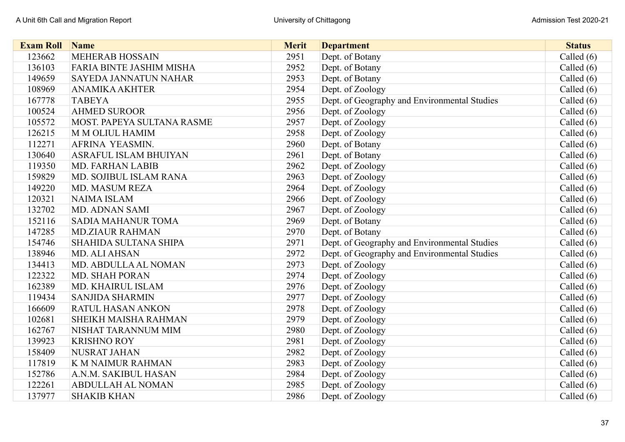| <b>Exam Roll</b> | Name                              | <b>Merit</b> | <b>Department</b>                            | <b>Status</b> |
|------------------|-----------------------------------|--------------|----------------------------------------------|---------------|
| 123662           | <b>MEHERAB HOSSAIN</b>            | 2951         | Dept. of Botany                              | Called $(6)$  |
| 136103           | <b>FARIA BINTE JASHIM MISHA</b>   | 2952         | Dept. of Botany                              | Called $(6)$  |
| 149659           | <b>SAYEDA JANNATUN NAHAR</b>      | 2953         | Dept. of Botany                              | Called $(6)$  |
| 108969           | <b>ANAMIKA AKHTER</b>             | 2954         | Dept. of Zoology                             | Called $(6)$  |
| 167778           | <b>TABEYA</b>                     | 2955         | Dept. of Geography and Environmental Studies | Called $(6)$  |
| 100524           | <b>AHMED SUROOR</b>               | 2956         | Dept. of Zoology                             | Called $(6)$  |
| 105572           | <b>MOST. PAPEYA SULTANA RASME</b> | 2957         | Dept. of Zoology                             | Called $(6)$  |
| 126215           | M M OLIUL HAMIM                   | 2958         | Dept. of Zoology                             | Called $(6)$  |
| 112271           | <b>AFRINA YEASMIN.</b>            | 2960         | Dept. of Botany                              | Called $(6)$  |
| 130640           | <b>ASRAFUL ISLAM BHUIYAN</b>      | 2961         | Dept. of Botany                              | Called $(6)$  |
| 119350           | <b>MD. FARHAN LABIB</b>           | 2962         | Dept. of Zoology                             | Called (6)    |
| 159829           | MD. SOJIBUL ISLAM RANA            | 2963         | Dept. of Zoology                             | Called (6)    |
| 149220           | <b>MD. MASUM REZA</b>             | 2964         | Dept. of Zoology                             | Called $(6)$  |
| 120321           | <b>NAIMA ISLAM</b>                | 2966         | Dept. of Zoology                             | Called $(6)$  |
| 132702           | <b>MD. ADNAN SAMI</b>             | 2967         | Dept. of Zoology                             | Called $(6)$  |
| 152116           | <b>SADIA MAHANUR TOMA</b>         | 2969         | Dept. of Botany                              | Called $(6)$  |
| 147285           | <b>MD.ZIAUR RAHMAN</b>            | 2970         | Dept. of Botany                              | Called $(6)$  |
| 154746           | <b>SHAHIDA SULTANA SHIPA</b>      | 2971         | Dept. of Geography and Environmental Studies | Called $(6)$  |
| 138946           | <b>MD. ALI AHSAN</b>              | 2972         | Dept. of Geography and Environmental Studies | Called $(6)$  |
| 134413           | MD. ABDULLA AL NOMAN              | 2973         | Dept. of Zoology                             | Called $(6)$  |
| 122322           | <b>MD. SHAH PORAN</b>             | 2974         | Dept. of Zoology                             | Called $(6)$  |
| 162389           | MD. KHAIRUL ISLAM                 | 2976         | Dept. of Zoology                             | Called $(6)$  |
| 119434           | <b>SANJIDA SHARMIN</b>            | 2977         | Dept. of Zoology                             | Called $(6)$  |
| 166609           | <b>RATUL HASAN ANKON</b>          | 2978         | Dept. of Zoology                             | Called $(6)$  |
| 102681           | SHEIKH MAISHA RAHMAN              | 2979         | Dept. of Zoology                             | Called $(6)$  |
| 162767           | NISHAT TARANNUM MIM               | 2980         | Dept. of Zoology                             | Called (6)    |
| 139923           | <b>KRISHNO ROY</b>                | 2981         | Dept. of Zoology                             | Called $(6)$  |
| 158409           | NUSRAT JAHAN                      | 2982         | Dept. of Zoology                             | Called $(6)$  |
| 117819           | <b>K M NAIMUR RAHMAN</b>          | 2983         | Dept. of Zoology                             | Called $(6)$  |
| 152786           | A.N.M. SAKIBUL HASAN              | 2984         | Dept. of Zoology                             | Called (6)    |
| 122261           | <b>ABDULLAH AL NOMAN</b>          | 2985         | Dept. of Zoology                             | Called $(6)$  |
| 137977           | <b>SHAKIB KHAN</b>                | 2986         | Dept. of Zoology                             | Called $(6)$  |